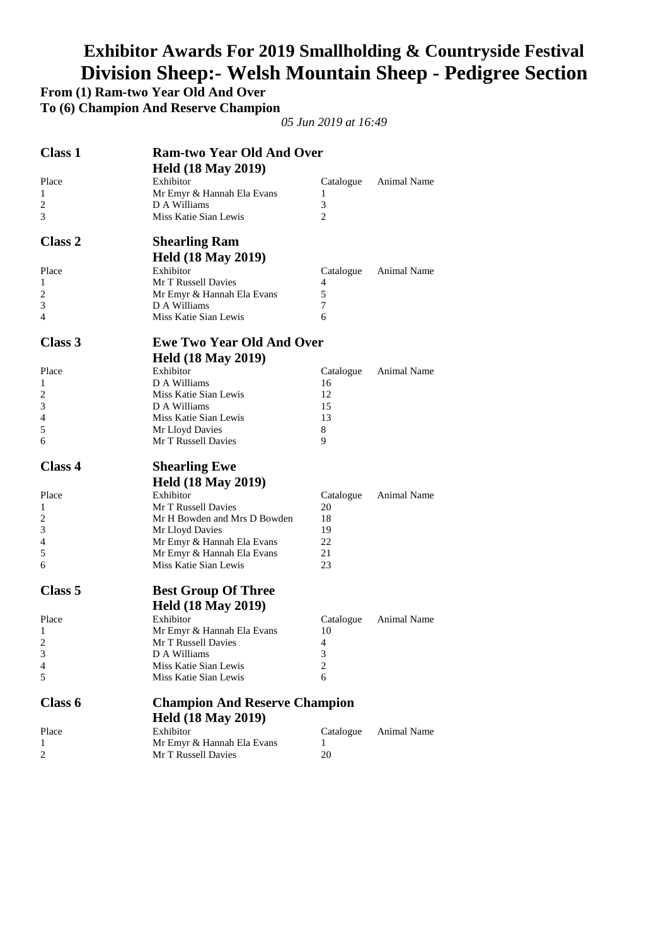# **Exhibitor Awards For 2019 Smallholding & Countryside Festival Division Sheep:- Welsh Mountain Sheep - Pedigree Section**

**From (1) Ram-two Year Old And Over** 

**To (6) Champion And Reserve Champion** 

| <b>Class 1</b>     | <b>Ram-two Year Old And Over</b>                  |                 |                    |
|--------------------|---------------------------------------------------|-----------------|--------------------|
|                    | <b>Held (18 May 2019)</b>                         |                 |                    |
| Place              | Exhibitor                                         | Catalogue       | Animal Name        |
| 1                  | Mr Emyr & Hannah Ela Evans                        | 1               |                    |
| $\overline{c}$     | D A Williams                                      | 3               |                    |
| 3                  | Miss Katie Sian Lewis                             | 2               |                    |
| Class 2            | <b>Shearling Ram</b>                              |                 |                    |
|                    | <b>Held (18 May 2019)</b>                         |                 |                    |
| Place              | Exhibitor                                         | Catalogue       | <b>Animal Name</b> |
| 1                  | Mr T Russell Davies                               | 4               |                    |
| 2                  | Mr Emyr & Hannah Ela Evans                        | 5               |                    |
| 3                  | D A Williams                                      | 7               |                    |
| 4                  | Miss Katie Sian Lewis                             | 6               |                    |
| Class 3            | <b>Ewe Two Year Old And Over</b>                  |                 |                    |
|                    | <b>Held (18 May 2019)</b>                         |                 |                    |
| Place              | Exhibitor                                         | Catalogue       | Animal Name        |
| 1                  | D A Williams                                      | 16              |                    |
| 2                  | Miss Katie Sian Lewis                             | 12              |                    |
| 3                  | D A Williams                                      | 15              |                    |
| 4                  | Miss Katie Sian Lewis                             | 13              |                    |
| 5                  | Mr Lloyd Davies                                   | 8               |                    |
| 6                  | Mr T Russell Davies                               | 9               |                    |
|                    |                                                   |                 |                    |
| <b>Class 4</b>     | <b>Shearling Ewe</b>                              |                 |                    |
|                    | <b>Held (18 May 2019)</b>                         |                 |                    |
| Place              | Exhibitor                                         | Catalogue       | Animal Name        |
| 1                  | Mr T Russell Davies                               | 20              |                    |
| 2                  | Mr H Bowden and Mrs D Bowden                      | 18              |                    |
| 3                  | Mr Lloyd Davies                                   | 19              |                    |
| 4                  | Mr Emyr & Hannah Ela Evans                        | 22              |                    |
| 5                  | Mr Emyr & Hannah Ela Evans                        | 21              |                    |
| 6                  | Miss Katie Sian Lewis                             | 23              |                    |
| Class <sub>5</sub> | <b>Best Group Of Three</b>                        |                 |                    |
|                    |                                                   |                 |                    |
|                    | <b>Held (18 May 2019)</b><br>Exhibitor            |                 |                    |
| Place<br>1         | Mr Emyr & Hannah Ela Evans                        | Catalogue<br>10 | Animal Name        |
| 2                  | Mr T Russell Davies                               | 4               |                    |
| 3                  | D A Williams                                      | 3               |                    |
| 4                  | Miss Katie Sian Lewis                             | 2               |                    |
| 5                  | Miss Katie Sian Lewis                             | 6               |                    |
| Class 6            | <b>Champion And Reserve Champion</b>              |                 |                    |
|                    |                                                   |                 |                    |
|                    | <b>Held (18 May 2019)</b>                         |                 |                    |
| Place<br>1         | Exhibitor                                         | Catalogue<br>1  | Animal Name        |
| 2                  | Mr Emyr & Hannah Ela Evans<br>Mr T Russell Davies | 20              |                    |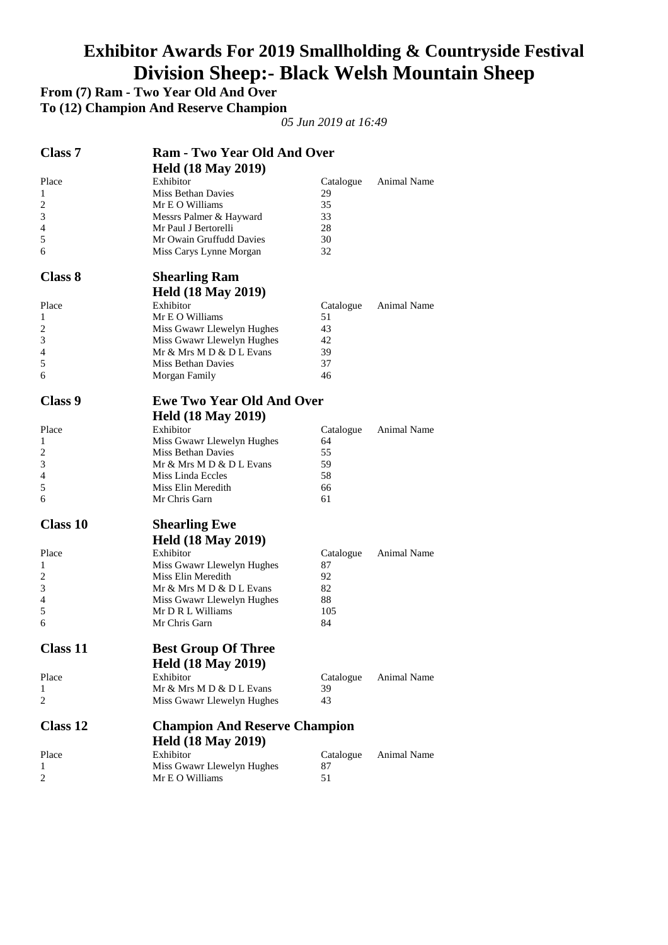# **Exhibitor Awards For 2019 Smallholding & Countryside Festival Division Sheep:- Black Welsh Mountain Sheep**

**From (7) Ram - Two Year Old And Over** 

**To (12) Champion And Reserve Champion** 

| <b>Class 7</b><br><b>Ram - Two Year Old And Over</b> |                                       |                 |                    |
|------------------------------------------------------|---------------------------------------|-----------------|--------------------|
|                                                      | <b>Held (18 May 2019)</b>             |                 |                    |
| Place                                                | Exhibitor                             | Catalogue       | Animal Name        |
| 1                                                    | Miss Bethan Davies                    | 29              |                    |
| 2                                                    | Mr E O Williams                       | 35              |                    |
| 3                                                    | Messrs Palmer & Hayward               | 33              |                    |
| 4                                                    | Mr Paul J Bertorelli                  | 28              |                    |
| 5                                                    | Mr Owain Gruffudd Davies              | 30              |                    |
| 6                                                    | Miss Carys Lynne Morgan               | 32              |                    |
| <b>Class 8</b>                                       | <b>Shearling Ram</b>                  |                 |                    |
|                                                      | <b>Held (18 May 2019)</b>             |                 |                    |
| Place                                                | Exhibitor                             | Catalogue       | Animal Name        |
| 1                                                    | Mr E O Williams                       | 51              |                    |
| $\overline{c}$                                       | Miss Gwawr Llewelyn Hughes            | 43              |                    |
| 3                                                    | Miss Gwawr Llewelyn Hughes            | 42              |                    |
| 4                                                    | Mr & Mrs M D & D L Evans              | 39              |                    |
| 5                                                    | <b>Miss Bethan Davies</b>             | 37              |                    |
| 6                                                    | Morgan Family                         | 46              |                    |
| <b>Class 9</b>                                       | <b>Ewe Two Year Old And Over</b>      |                 |                    |
|                                                      | <b>Held (18 May 2019)</b>             |                 |                    |
| Place                                                | Exhibitor                             |                 | Animal Name        |
| 1                                                    | Miss Gwawr Llewelyn Hughes            | Catalogue<br>64 |                    |
| 2                                                    | Miss Bethan Davies                    | 55              |                    |
| 3                                                    | Mr & Mrs M D & D L Evans              | 59              |                    |
| 4                                                    | Miss Linda Eccles                     | 58              |                    |
| 5                                                    | Miss Elin Meredith                    | 66              |                    |
| 6                                                    | Mr Chris Garn                         | 61              |                    |
| <b>Class 10</b>                                      | <b>Shearling Ewe</b>                  |                 |                    |
|                                                      | <b>Held (18 May 2019)</b>             |                 |                    |
|                                                      | Exhibitor                             |                 |                    |
| Place<br>1                                           | Miss Gwawr Llewelyn Hughes            | Catalogue<br>87 | Animal Name        |
| $\overline{c}$                                       | Miss Elin Meredith                    | 92              |                    |
| 3                                                    | Mr & Mrs M D & D L Evans              | 82              |                    |
| 4                                                    | Miss Gwawr Llewelyn Hughes            | 88              |                    |
| 5                                                    | Mr D R L Williams                     | 105             |                    |
| 6                                                    | Mr Chris Garn                         | 84              |                    |
| <b>Class 11</b>                                      | <b>Best Group Of Three</b>            |                 |                    |
|                                                      |                                       |                 |                    |
|                                                      | <b>Held (18 May 2019)</b>             |                 |                    |
| Place<br>1                                           | Exhibitor<br>Mr & Mrs M D & D L Evans | Catalogue<br>39 | <b>Animal Name</b> |
| 2                                                    | Miss Gwawr Llewelyn Hughes            | 43              |                    |
| <b>Class 12</b>                                      |                                       |                 |                    |
|                                                      | <b>Champion And Reserve Champion</b>  |                 |                    |
|                                                      | <b>Held (18 May 2019)</b>             |                 |                    |
| Place                                                | Exhibitor                             | Catalogue       | Animal Name        |
| 1<br>$\overline{c}$                                  | Miss Gwawr Llewelyn Hughes            | 87              |                    |
|                                                      | Mr E O Williams                       | 51              |                    |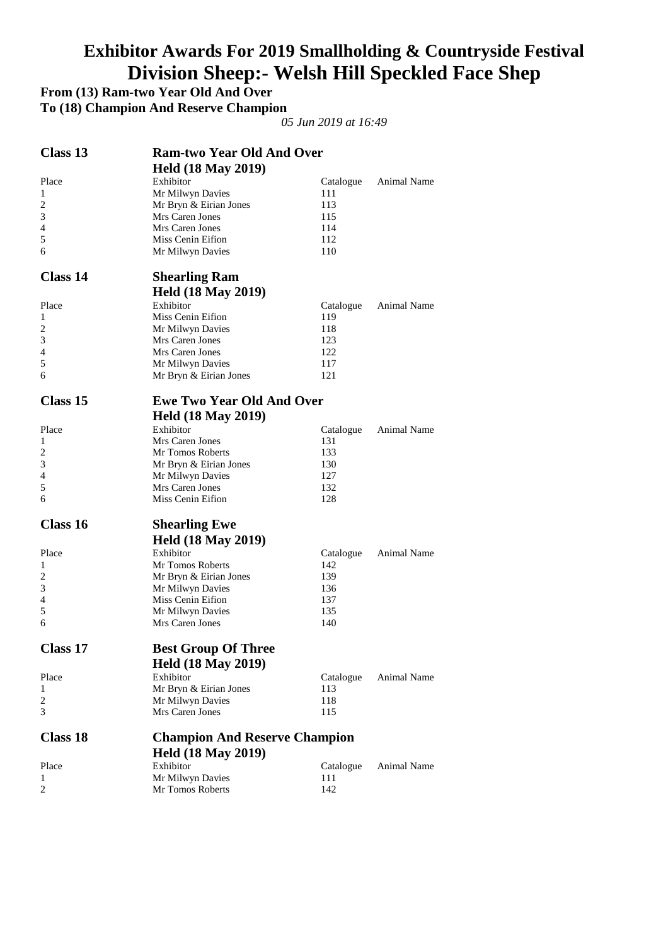# **Exhibitor Awards For 2019 Smallholding & Countryside Festival Division Sheep:- Welsh Hill Speckled Face Shep**

**From (13) Ram-two Year Old And Over** 

**To (18) Champion And Reserve Champion** 

| Class 13        | <b>Ram-two Year Old And Over</b>     |           |                    |
|-----------------|--------------------------------------|-----------|--------------------|
|                 | <b>Held (18 May 2019)</b>            |           |                    |
| Place           | Exhibitor                            | Catalogue | Animal Name        |
| 1               | Mr Milwyn Davies                     | 111       |                    |
| 2               | Mr Bryn & Eirian Jones               | 113       |                    |
| 3               | Mrs Caren Jones                      | 115       |                    |
| 4               | Mrs Caren Jones                      | 114       |                    |
| 5               | Miss Cenin Eifion                    | 112       |                    |
| 6               | Mr Milwyn Davies                     | 110       |                    |
| <b>Class 14</b> | <b>Shearling Ram</b>                 |           |                    |
|                 | <b>Held (18 May 2019)</b>            |           |                    |
| Place           | Exhibitor                            | Catalogue | <b>Animal Name</b> |
| 1               | Miss Cenin Eifion                    | 119       |                    |
| 2               | Mr Milwyn Davies                     | 118       |                    |
| 3               | Mrs Caren Jones                      | 123       |                    |
| 4               | Mrs Caren Jones                      | 122       |                    |
| 5               | Mr Milwyn Davies                     | 117       |                    |
| 6               | Mr Bryn & Eirian Jones               | 121       |                    |
| <b>Class 15</b> | <b>Ewe Two Year Old And Over</b>     |           |                    |
|                 | <b>Held (18 May 2019)</b>            |           |                    |
| Place           | Exhibitor                            | Catalogue | Animal Name        |
| 1               | Mrs Caren Jones                      | 131       |                    |
| 2               | Mr Tomos Roberts                     | 133       |                    |
| 3               | Mr Bryn & Eirian Jones               | 130       |                    |
| 4               | Mr Milwyn Davies                     | 127       |                    |
| 5               | Mrs Caren Jones                      | 132       |                    |
| 6               | Miss Cenin Eifion                    | 128       |                    |
| Class 16        | <b>Shearling Ewe</b>                 |           |                    |
|                 | <b>Held (18 May 2019)</b>            |           |                    |
| Place           | Exhibitor                            | Catalogue | Animal Name        |
| 1               | Mr Tomos Roberts                     | 142       |                    |
| 2               | Mr Bryn & Eirian Jones               | 139       |                    |
| 3               | Mr Milwyn Davies                     | 136       |                    |
| $\overline{4}$  | Miss Cenin Eifion                    | 137       |                    |
| 5               | Mr Milwyn Davies                     | 135       |                    |
| 6               | Mrs Caren Jones                      | 140       |                    |
| Class 17        | <b>Best Group Of Three</b>           |           |                    |
|                 | <b>Held (18 May 2019)</b>            |           |                    |
| Place           | Exhibitor                            | Catalogue | Animal Name        |
| 1               | Mr Bryn & Eirian Jones               | 113       |                    |
| 2               | Mr Milwyn Davies                     | 118       |                    |
| 3               | Mrs Caren Jones                      | 115       |                    |
| <b>Class 18</b> | <b>Champion And Reserve Champion</b> |           |                    |
|                 | <b>Held (18 May 2019)</b>            |           |                    |
| Place           | Exhibitor                            | Catalogue | Animal Name        |
| 1               | Mr Milwyn Davies                     | 111       |                    |
| $\overline{c}$  | Mr Tomos Roberts                     | 142       |                    |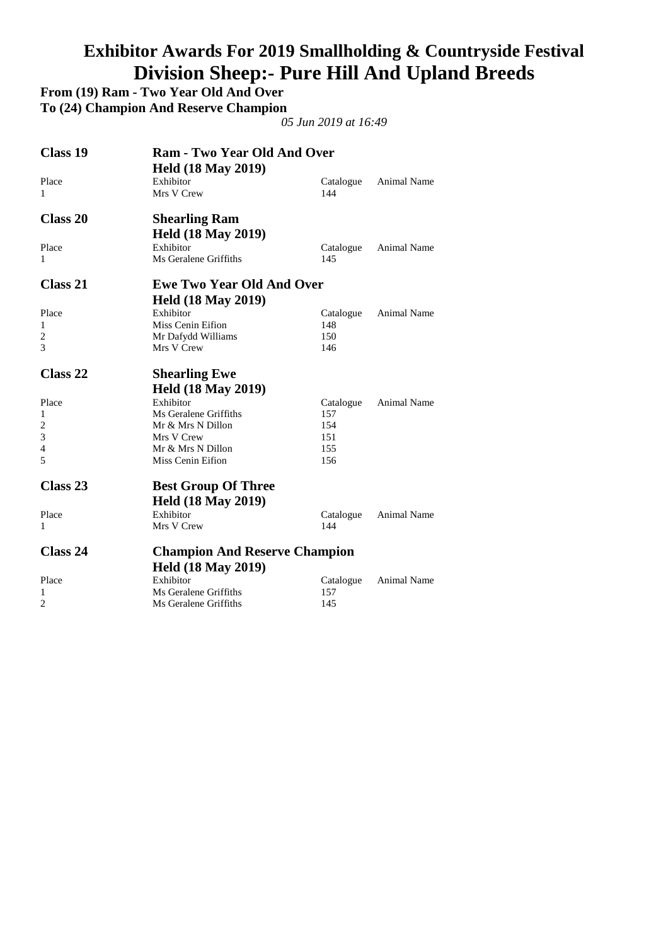# **Exhibitor Awards For 2019 Smallholding & Countryside Festival Division Sheep:- Pure Hill And Upland Breeds**

**From (19) Ram - Two Year Old And Over** 

**To (24) Champion And Reserve Champion** 

| Class 19       | <b>Ram - Two Year Old And Over</b>   |           |                    |
|----------------|--------------------------------------|-----------|--------------------|
|                | <b>Held (18 May 2019)</b>            |           |                    |
| Place          | Exhibitor                            | Catalogue | <b>Animal Name</b> |
| 1              | Mrs V Crew                           | 144       |                    |
| Class 20       | <b>Shearling Ram</b>                 |           |                    |
|                | <b>Held (18 May 2019)</b>            |           |                    |
| Place          | Exhibitor                            | Catalogue | <b>Animal Name</b> |
| 1              | Ms Geralene Griffiths                | 145       |                    |
| Class 21       | <b>Ewe Two Year Old And Over</b>     |           |                    |
|                | <b>Held (18 May 2019)</b>            |           |                    |
| Place          | Exhibitor                            | Catalogue | Animal Name        |
| 1              | Miss Cenin Eifion                    | 148       |                    |
| $\overline{2}$ | Mr Dafydd Williams                   | 150       |                    |
| 3              | Mrs V Crew                           | 146       |                    |
| Class 22       | <b>Shearling Ewe</b>                 |           |                    |
|                | <b>Held (18 May 2019)</b>            |           |                    |
| Place          | Exhibitor                            | Catalogue | <b>Animal Name</b> |
| 1              | Ms Geralene Griffiths                | 157       |                    |
| $\overline{2}$ | Mr & Mrs N Dillon                    | 154       |                    |
| 3              | Mrs V Crew                           | 151       |                    |
| $\overline{4}$ | Mr & Mrs N Dillon                    | 155       |                    |
| 5              | Miss Cenin Eifion                    | 156       |                    |
| Class 23       | <b>Best Group Of Three</b>           |           |                    |
|                | <b>Held (18 May 2019)</b>            |           |                    |
| Place          | Exhibitor                            | Catalogue | <b>Animal Name</b> |
| 1              | Mrs V Crew                           | 144       |                    |
| Class 24       | <b>Champion And Reserve Champion</b> |           |                    |
|                | <b>Held (18 May 2019)</b>            |           |                    |
| Place          | Exhibitor                            | Catalogue | Animal Name        |
| 1              | Ms Geralene Griffiths                | 157       |                    |
| $\overline{c}$ | Ms Geralene Griffiths                | 145       |                    |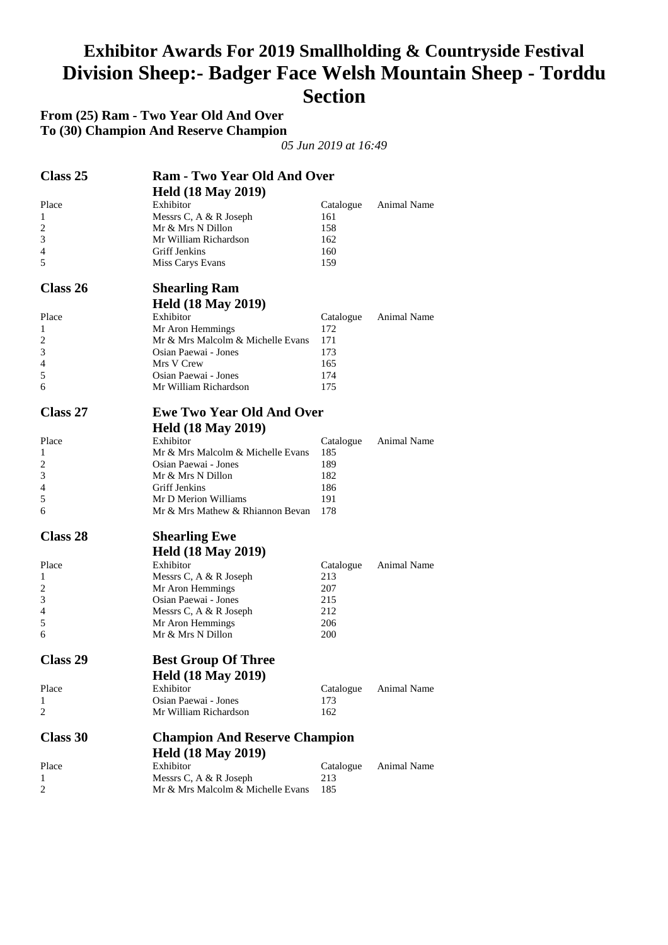#### **Exhibitor Awards For 2019 Smallholding & Countryside Festival Division Sheep:- Badger Face Welsh Mountain Sheep - Torddu Section**

**From (25) Ram - Two Year Old And Over To (30) Champion And Reserve Champion** 

| Class 25       | <b>Ram - Two Year Old And Over</b>   |           |             |
|----------------|--------------------------------------|-----------|-------------|
|                | <b>Held (18 May 2019)</b>            |           |             |
| Place          | Exhibitor                            | Catalogue | Animal Name |
| 1              | Messrs C, A & R Joseph               | 161       |             |
| 2              | Mr & Mrs N Dillon                    | 158       |             |
| 3              | Mr William Richardson                | 162       |             |
| $\overline{4}$ | Griff Jenkins                        | 160       |             |
| 5              | Miss Carys Evans                     | 159       |             |
| Class 26       | <b>Shearling Ram</b>                 |           |             |
|                | <b>Held (18 May 2019)</b>            |           |             |
| Place          | Exhibitor                            | Catalogue | Animal Name |
| 1              | Mr Aron Hemmings                     | 172       |             |
| 2              | Mr & Mrs Malcolm & Michelle Evans    | 171       |             |
| 3              | Osian Paewai - Jones                 | 173       |             |
| 4              | Mrs V Crew                           | 165       |             |
| 5              | Osian Paewai - Jones                 | 174       |             |
| 6              | Mr William Richardson                | 175       |             |
|                |                                      |           |             |
| Class 27       | <b>Ewe Two Year Old And Over</b>     |           |             |
|                | <b>Held (18 May 2019)</b>            |           |             |
| Place          | Exhibitor                            | Catalogue | Animal Name |
| 1              | Mr & Mrs Malcolm & Michelle Evans    | 185       |             |
| 2              | Osian Paewai - Jones                 | 189       |             |
| 3              | Mr & Mrs N Dillon                    | 182       |             |
| $\overline{4}$ | Griff Jenkins                        | 186       |             |
| 5              | Mr D Merion Williams                 | 191       |             |
| 6              | Mr & Mrs Mathew & Rhiannon Bevan     | 178       |             |
| Class 28       | <b>Shearling Ewe</b>                 |           |             |
|                |                                      |           |             |
|                | <b>Held (18 May 2019)</b>            |           |             |
| Place          | Exhibitor                            | Catalogue | Animal Name |
| 1              | Messrs C, A & R Joseph               | 213       |             |
| 2              | Mr Aron Hemmings                     | 207       |             |
| 3              | Osian Paewai - Jones                 | 215       |             |
| 4              | Messrs C, A & R Joseph               | 212       |             |
| 5              | Mr Aron Hemmings                     | 206       |             |
| 6              | Mr & Mrs N Dillon                    | 200       |             |
| Class 29       | <b>Best Group Of Three</b>           |           |             |
|                | <b>Held (18 May 2019)</b>            |           |             |
|                |                                      |           |             |
| Place          | Exhibitor                            | Catalogue | Animal Name |
| 1              | Osian Paewai - Jones                 | 173       |             |
| 2              | Mr William Richardson                | 162       |             |
| Class 30       | <b>Champion And Reserve Champion</b> |           |             |
|                | <b>Held (18 May 2019)</b>            |           |             |
| Place          | Exhibitor                            | Catalogue | Animal Name |
| 1              | Messrs C, A & R Joseph               | 213       |             |
| 2              | Mr & Mrs Malcolm & Michelle Evans    | 185       |             |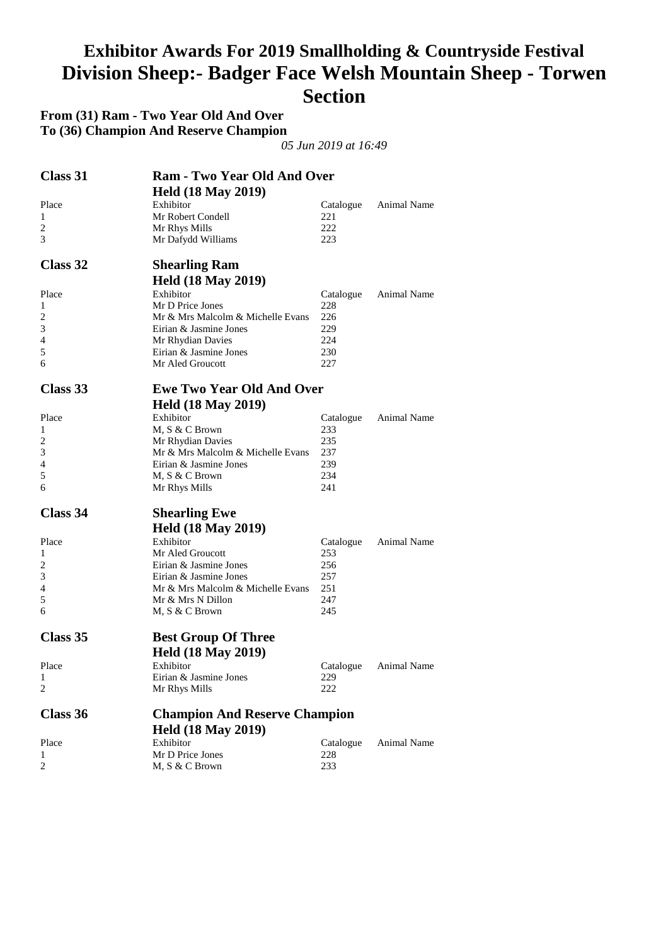#### **Exhibitor Awards For 2019 Smallholding & Countryside Festival Division Sheep:- Badger Face Welsh Mountain Sheep - Torwen Section**

**From (31) Ram - Two Year Old And Over To (36) Champion And Reserve Champion** 

| Class 31 | <b>Ram - Two Year Old And Over</b><br><b>Held (18 May 2019)</b> |           |                       |
|----------|-----------------------------------------------------------------|-----------|-----------------------|
| Place    | Exhibitor                                                       | Catalogue | <b>Animal Name</b>    |
| 1        | Mr Robert Condell                                               | 221       |                       |
| 2        | Mr Rhys Mills                                                   | 222       |                       |
| 3        | Mr Dafydd Williams                                              | 223       |                       |
| Class 32 | <b>Shearling Ram</b>                                            |           |                       |
|          | <b>Held (18 May 2019)</b>                                       |           |                       |
| Place    | Exhibitor                                                       | Catalogue | Animal Name           |
| 1        | Mr D Price Jones                                                | 228       |                       |
| 2        | Mr & Mrs Malcolm & Michelle Evans                               | 226       |                       |
| 3        | Eirian & Jasmine Jones                                          | 229       |                       |
| 4        | Mr Rhydian Davies                                               | 224       |                       |
| 5        | Eirian & Jasmine Jones                                          | 230       |                       |
| 6        | Mr Aled Groucott                                                | 227       |                       |
| Class 33 | <b>Ewe Two Year Old And Over</b>                                |           |                       |
|          | <b>Held (18 May 2019)</b>                                       |           |                       |
| Place    | Exhibitor                                                       | Catalogue | Animal Name           |
| 1        | M, S & C Brown                                                  | 233       |                       |
| 2        | Mr Rhydian Davies                                               | 235       |                       |
| 3        | Mr & Mrs Malcolm & Michelle Evans                               | 237       |                       |
| 4        | Eirian & Jasmine Jones                                          | 239       |                       |
| 5        | M, S & C Brown                                                  | 234       |                       |
| 6        | Mr Rhys Mills                                                   | 241       |                       |
| Class 34 | <b>Shearling Ewe</b>                                            |           |                       |
|          | <b>Held (18 May 2019)</b>                                       |           |                       |
| Place    | Exhibitor                                                       | Catalogue | Animal Name           |
| 1        | Mr Aled Groucott                                                | 253       |                       |
| 2        | Eirian & Jasmine Jones                                          | 256       |                       |
| 3        | Eirian & Jasmine Jones                                          | 257       |                       |
| 4        | Mr & Mrs Malcolm & Michelle Evans                               | 251       |                       |
| 5        | Mr & Mrs N Dillon                                               | 247       |                       |
| 6        | M, S & C Brown                                                  | 245       |                       |
| Class 35 | <b>Best Group Of Three</b>                                      |           |                       |
|          | <b>Held (18 May 2019)</b>                                       |           |                       |
| Place    | Exhibitor                                                       |           | Catalogue Animal Name |
| 1        | Eirian & Jasmine Jones                                          | 229       |                       |
| 2        | Mr Rhys Mills                                                   | 222       |                       |
| Class 36 | <b>Champion And Reserve Champion</b>                            |           |                       |
|          | <b>Held (18 May 2019)</b>                                       |           |                       |
| Place    | Exhibitor                                                       | Catalogue | Animal Name           |
| 1        | Mr D Price Jones                                                | 228       |                       |
| 2        | M, S & C Brown                                                  | 233       |                       |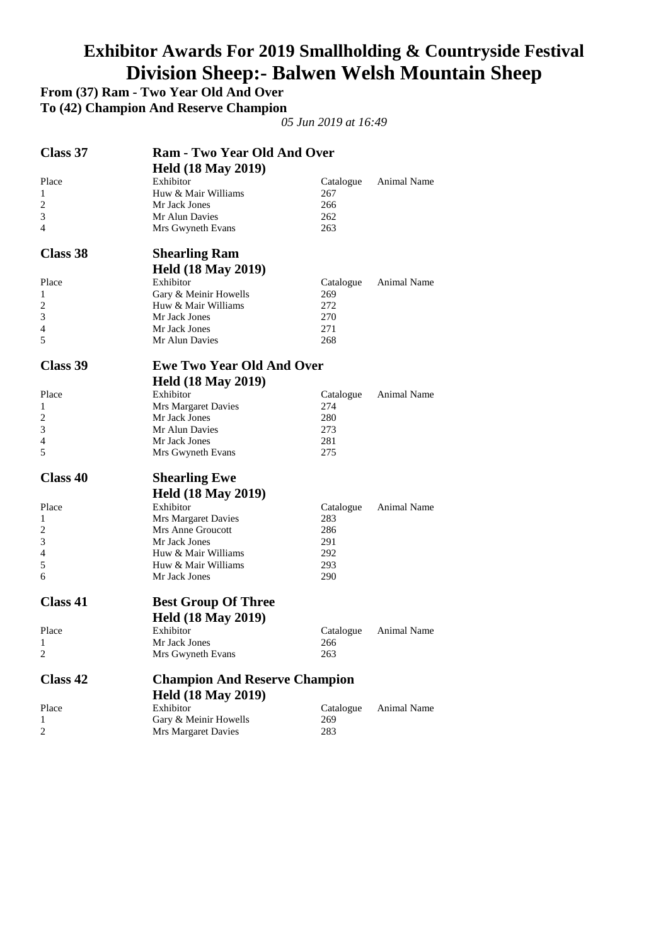# **Exhibitor Awards For 2019 Smallholding & Countryside Festival Division Sheep:- Balwen Welsh Mountain Sheep**

**From (37) Ram - Two Year Old And Over** 

**To (42) Champion And Reserve Champion** 

| Class 37        | <b>Ram - Two Year Old And Over</b>   |           |             |
|-----------------|--------------------------------------|-----------|-------------|
|                 | <b>Held (18 May 2019)</b>            |           |             |
| Place           | Exhibitor                            | Catalogue | Animal Name |
| 1               | Huw & Mair Williams                  | 267       |             |
| $\overline{c}$  | Mr Jack Jones                        | 266       |             |
| 3               | Mr Alun Davies                       | 262       |             |
| 4               | Mrs Gwyneth Evans                    | 263       |             |
| Class 38        | <b>Shearling Ram</b>                 |           |             |
|                 | <b>Held (18 May 2019)</b>            |           |             |
| Place           | Exhibitor                            | Catalogue | Animal Name |
| 1               | Gary & Meinir Howells                | 269       |             |
| 2               | Huw & Mair Williams                  | 272       |             |
| 3               | Mr Jack Jones                        | 270       |             |
| 4               | Mr Jack Jones                        | 271       |             |
| 5               | Mr Alun Davies                       | 268       |             |
| Class 39        | <b>Ewe Two Year Old And Over</b>     |           |             |
|                 | <b>Held (18 May 2019)</b>            |           |             |
| Place           | Exhibitor                            | Catalogue | Animal Name |
| 1               | <b>Mrs Margaret Davies</b>           | 274       |             |
| 2               | Mr Jack Jones                        | 280       |             |
| 3               | Mr Alun Davies                       | 273       |             |
| 4               | Mr Jack Jones                        | 281       |             |
| 5               | Mrs Gwyneth Evans                    | 275       |             |
| <b>Class 40</b> | <b>Shearling Ewe</b>                 |           |             |
|                 | <b>Held (18 May 2019)</b>            |           |             |
| Place           | Exhibitor                            | Catalogue | Animal Name |
| 1               | Mrs Margaret Davies                  | 283       |             |
| 2               | Mrs Anne Groucott                    | 286       |             |
| 3               | Mr Jack Jones                        | 291       |             |
| 4               | Huw & Mair Williams                  | 292       |             |
| 5               | Huw & Mair Williams                  | 293       |             |
| 6               | Mr Jack Jones                        | 290       |             |
| <b>Class 41</b> | <b>Best Group Of Three</b>           |           |             |
|                 | <b>Held (18 May 2019)</b>            |           |             |
| Place           | Exhibitor                            | Catalogue | Animal Name |
| 1               | Mr Jack Jones                        | 266       |             |
| 2               | Mrs Gwyneth Evans                    | 263       |             |
| Class 42        | <b>Champion And Reserve Champion</b> |           |             |
|                 | <b>Held (18 May 2019)</b>            |           |             |
| Place           | Exhibitor                            | Catalogue | Animal Name |
| 1               | Gary & Meinir Howells                | 269       |             |
| 2               | Mrs Margaret Davies                  | 283       |             |
|                 |                                      |           |             |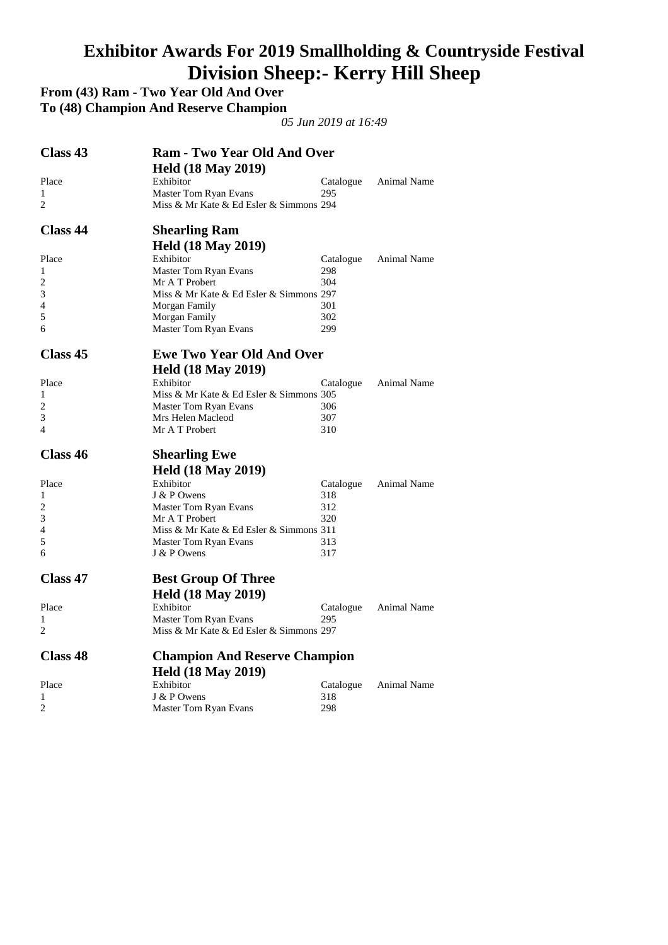#### **Exhibitor Awards For 2019 Smallholding & Countryside Festival Division Sheep:- Kerry Hill Sheep**

**From (43) Ram - Two Year Old And Over** 

**To (48) Champion And Reserve Champion** 

| Class 43        | <b>Ram - Two Year Old And Over</b>      |                  |             |  |  |
|-----------------|-----------------------------------------|------------------|-------------|--|--|
|                 | <b>Held (18 May 2019)</b>               |                  |             |  |  |
| Place           | Exhibitor                               | Catalogue        | Animal Name |  |  |
| 1               | Master Tom Ryan Evans                   | 295              |             |  |  |
| 2               | Miss & Mr Kate & Ed Esler & Simmons 294 |                  |             |  |  |
| <b>Class 44</b> | <b>Shearling Ram</b>                    |                  |             |  |  |
|                 | <b>Held (18 May 2019)</b>               |                  |             |  |  |
| Place           | Exhibitor                               | Catalogue        | Animal Name |  |  |
| 1               | Master Tom Ryan Evans                   | 298              |             |  |  |
| 2               | Mr A T Probert                          | 304              |             |  |  |
| 3               | Miss & Mr Kate & Ed Esler & Simmons 297 |                  |             |  |  |
| 4               | Morgan Family                           | 301              |             |  |  |
| 5               | Morgan Family                           | 302              |             |  |  |
| 6               | Master Tom Ryan Evans                   | 299              |             |  |  |
| Class 45        | <b>Ewe Two Year Old And Over</b>        |                  |             |  |  |
|                 | <b>Held (18 May 2019)</b>               |                  |             |  |  |
| Place           | Exhibitor                               | Catalogue        | Animal Name |  |  |
| 1               | Miss & Mr Kate & Ed Esler & Simmons 305 |                  |             |  |  |
| 2               | Master Tom Ryan Evans                   | 306              |             |  |  |
| 3               | Mrs Helen Macleod                       | 307              |             |  |  |
| $\overline{4}$  | Mr A T Probert                          | 310              |             |  |  |
|                 |                                         |                  |             |  |  |
| Class 46        | <b>Shearling Ewe</b>                    |                  |             |  |  |
|                 | <b>Held (18 May 2019)</b>               |                  |             |  |  |
| Place           | Exhibitor                               | Catalogue        | Animal Name |  |  |
| 1               | J & P Owens                             | 318              |             |  |  |
| 2               | Master Tom Ryan Evans                   | 312              |             |  |  |
| 3               | Mr A T Probert                          | 320              |             |  |  |
| 4               | Miss & Mr Kate & Ed Esler & Simmons 311 |                  |             |  |  |
| 5               | Master Tom Ryan Evans                   | 313              |             |  |  |
| 6               | J & P Owens                             | 317              |             |  |  |
| <b>Class 47</b> | <b>Best Group Of Three</b>              |                  |             |  |  |
|                 | <b>Held (18 May 2019)</b>               |                  |             |  |  |
| Place           | Exhibitor                               | Catalogue        | Animal Name |  |  |
| 1               | Master Tom Ryan Evans                   | 295              |             |  |  |
| 2               | Miss & Mr Kate & Ed Esler & Simmons 297 |                  |             |  |  |
| <b>Class 48</b> | <b>Champion And Reserve Champion</b>    |                  |             |  |  |
|                 | <b>Held (18 May 2019)</b>               |                  |             |  |  |
| Place           | Exhibitor                               |                  | Animal Name |  |  |
| 1               | J & P Owens                             | Catalogue<br>318 |             |  |  |
| $\overline{c}$  | Master Tom Ryan Evans                   | 298              |             |  |  |
|                 |                                         |                  |             |  |  |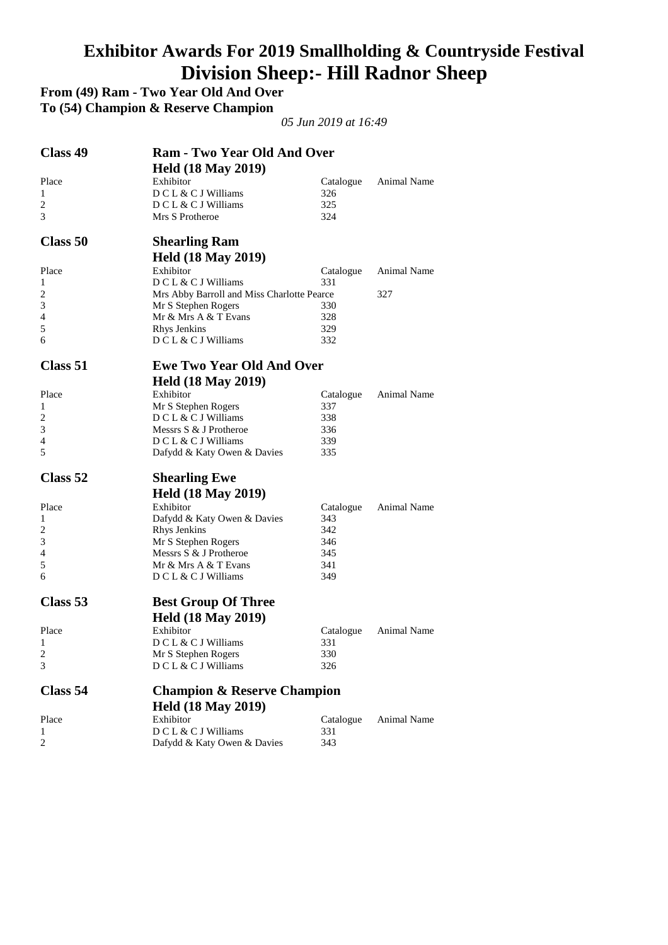# **Exhibitor Awards For 2019 Smallholding & Countryside Festival Division Sheep:- Hill Radnor Sheep**

**From (49) Ram - Two Year Old And Over** 

**To (54) Champion & Reserve Champion** 

| Class 49       | <b>Ram - Two Year Old And Over</b><br><b>Held (18 May 2019)</b> |           |                    |
|----------------|-----------------------------------------------------------------|-----------|--------------------|
| Place          | Exhibitor                                                       | Catalogue | <b>Animal Name</b> |
| 1              | DCL & CJ Williams                                               | 326       |                    |
| 2              | $DCL & CJ$ Williams                                             | 325       |                    |
| 3              | Mrs S Protheroe                                                 | 324       |                    |
| Class 50       | <b>Shearling Ram</b><br><b>Held (18 May 2019)</b>               |           |                    |
| Place          | Exhibitor                                                       | Catalogue | <b>Animal Name</b> |
| 1              | DCL & CJ Williams                                               | 331       |                    |
| 2              | Mrs Abby Barroll and Miss Charlotte Pearce                      |           | 327                |
| 3              | Mr S Stephen Rogers                                             | 330       |                    |
| 4              | Mr & Mrs A & T Evans                                            | 328       |                    |
| 5              | Rhys Jenkins                                                    | 329       |                    |
| 6              | $DCL & CJ$ Williams                                             | 332       |                    |
| Class 51       | <b>Ewe Two Year Old And Over</b>                                |           |                    |
|                | <b>Held (18 May 2019)</b>                                       |           |                    |
| Place          | Exhibitor                                                       | Catalogue | Animal Name        |
| 1              | Mr S Stephen Rogers                                             | 337       |                    |
| $\overline{c}$ | DCL & CJ Williams                                               | 338       |                    |
| 3              | Messrs S & J Protheroe                                          | 336       |                    |
| 4              | D C L & C J Williams                                            | 339       |                    |
| 5              | Dafydd & Katy Owen & Davies                                     | 335       |                    |
| Class 52       | <b>Shearling Ewe</b>                                            |           |                    |
|                | <b>Held (18 May 2019)</b>                                       |           |                    |
| Place          | Exhibitor                                                       | Catalogue | Animal Name        |
| 1              | Dafydd & Katy Owen & Davies                                     | 343       |                    |
| 2              | Rhys Jenkins                                                    | 342       |                    |
| 3              | Mr S Stephen Rogers                                             | 346       |                    |
| 4              | Messrs S & J Protheroe                                          | 345       |                    |
| 5              | Mr & Mrs A & T Evans                                            | 341       |                    |
| 6              | D C L & C J Williams                                            | 349       |                    |
| Class 53       | <b>Best Group Of Three</b>                                      |           |                    |
|                | <b>Held (18 May 2019)</b>                                       |           |                    |
| Place          | Exhibitor                                                       | Catalogue | Animal Name        |
| $\mathbf{1}$   | D C L & C J Williams                                            | 331       |                    |
| 2              | Mr S Stephen Rogers                                             | 330       |                    |
| 3              | DCL & CJ Williams                                               | 326       |                    |
| Class 54       | <b>Champion &amp; Reserve Champion</b>                          |           |                    |
|                | <b>Held (18 May 2019)</b>                                       |           |                    |
|                | Exhibitor                                                       |           | Animal Name        |
| Place          | DCL & CJ Williams                                               | Catalogue |                    |
| 1<br>2         |                                                                 | 331       |                    |
|                | Dafydd & Katy Owen & Davies                                     | 343       |                    |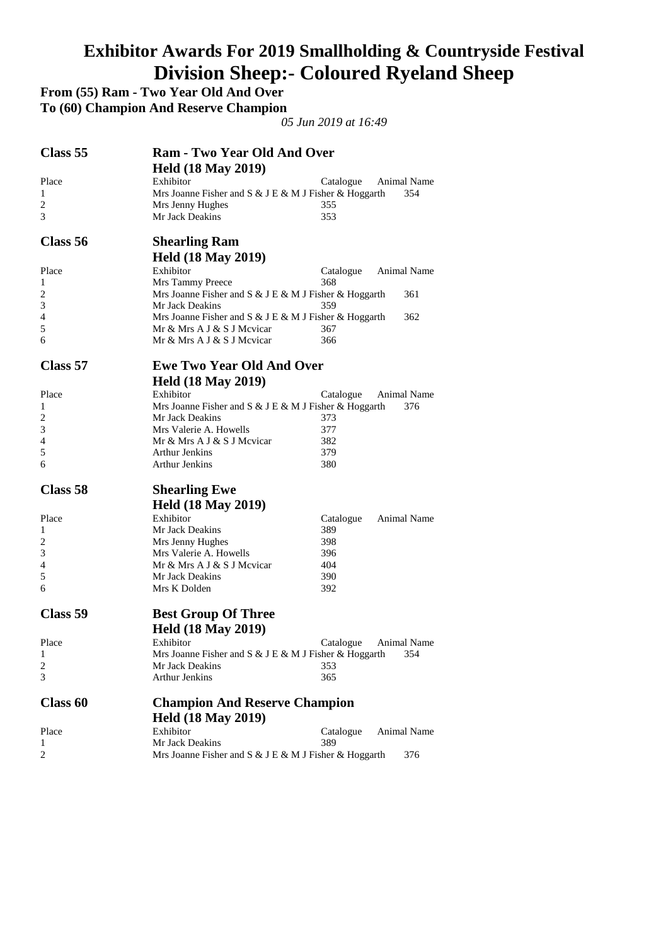#### **Exhibitor Awards For 2019 Smallholding & Countryside Festival Division Sheep:- Coloured Ryeland Sheep**

**From (55) Ram - Two Year Old And Over** 

**To (60) Champion And Reserve Champion** 

| Class 55 | <b>Ram - Two Year Old And Over</b>                    |                          |
|----------|-------------------------------------------------------|--------------------------|
|          | <b>Held (18 May 2019)</b>                             |                          |
| Place    | Exhibitor                                             | Catalogue<br>Animal Name |
| 1        | Mrs Joanne Fisher and S & J E & M J Fisher & Hoggarth | 354                      |
| 2        | Mrs Jenny Hughes                                      | 355                      |
| 3        | Mr Jack Deakins                                       | 353                      |
| Class 56 | <b>Shearling Ram</b>                                  |                          |
|          | <b>Held (18 May 2019)</b>                             |                          |
| Place    | Exhibitor                                             | Catalogue<br>Animal Name |
| 1        | Mrs Tammy Preece                                      | 368                      |
| 2        | Mrs Joanne Fisher and S & J E & M J Fisher & Hoggarth | 361                      |
| 3        | Mr Jack Deakins                                       | 359                      |
| 4        | Mrs Joanne Fisher and S & J E & M J Fisher & Hoggarth | 362                      |
| 5        | Mr & Mrs A J & S J Mevicar                            | 367                      |
| 6        | Mr & Mrs A J & S J Mevicar                            | 366                      |
| Class 57 | <b>Ewe Two Year Old And Over</b>                      |                          |
|          | <b>Held (18 May 2019)</b>                             |                          |
| Place    | Exhibitor                                             | Catalogue<br>Animal Name |
| 1        | Mrs Joanne Fisher and S & J E & M J Fisher & Hoggarth | 376                      |
| 2        | Mr Jack Deakins                                       | 373                      |
| 3        | Mrs Valerie A. Howells                                | 377                      |
| 4        | Mr & Mrs A J & S J Mevicar                            | 382                      |
| 5        | Arthur Jenkins                                        | 379                      |
| 6        | <b>Arthur Jenkins</b>                                 | 380                      |
| Class 58 | <b>Shearling Ewe</b>                                  |                          |
|          | <b>Held (18 May 2019)</b>                             |                          |
| Place    | Exhibitor                                             | Animal Name<br>Catalogue |
| 1        | Mr Jack Deakins                                       | 389                      |
| 2        | Mrs Jenny Hughes                                      | 398                      |
| 3        | Mrs Valerie A. Howells                                | 396                      |
| 4        | Mr & Mrs A J & S J Mcvicar                            | 404                      |
| 5        | Mr Jack Deakins                                       | 390                      |
| 6        | Mrs K Dolden                                          | 392                      |
| Class 59 | <b>Best Group Of Three</b>                            |                          |
|          | <b>Held (18 May 2019)</b>                             |                          |
| Place    | Exhibitor                                             | Catalogue<br>Animal Name |
| 1        | Mrs Joanne Fisher and S & J E & M J Fisher & Hoggarth | 354                      |
| 2        | Mr Jack Deakins                                       | 353                      |
| 3        | <b>Arthur Jenkins</b>                                 | 365                      |
| Class 60 | <b>Champion And Reserve Champion</b>                  |                          |
|          | <b>Held (18 May 2019)</b>                             |                          |
| Place    | Exhibitor                                             | Catalogue<br>Animal Name |
| 1        | Mr Jack Deakins                                       | 389                      |
| 2        | Mrs Joanne Fisher and S & J E & M J Fisher & Hoggarth | 376                      |
|          |                                                       |                          |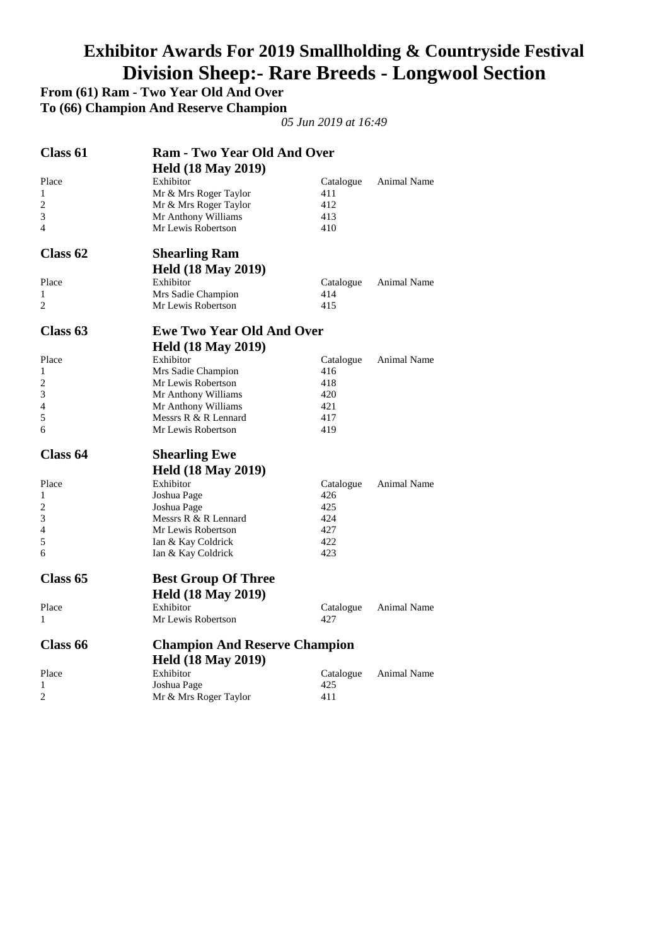# **Exhibitor Awards For 2019 Smallholding & Countryside Festival Division Sheep:- Rare Breeds - Longwool Section**

**From (61) Ram - Two Year Old And Over** 

**To (66) Champion And Reserve Champion** 

| Class 61            | <b>Ram - Two Year Old And Over</b>   |           |                    |
|---------------------|--------------------------------------|-----------|--------------------|
|                     | <b>Held (18 May 2019)</b>            |           |                    |
| Place               | Exhibitor                            | Catalogue | Animal Name        |
| 1                   | Mr & Mrs Roger Taylor                | 411       |                    |
| 2                   | Mr & Mrs Roger Taylor                | 412       |                    |
| 3                   | Mr Anthony Williams                  | 413       |                    |
| 4                   | Mr Lewis Robertson                   | 410       |                    |
| Class <sub>62</sub> | <b>Shearling Ram</b>                 |           |                    |
|                     | <b>Held (18 May 2019)</b>            |           |                    |
| Place               | Exhibitor                            | Catalogue | <b>Animal Name</b> |
| 1                   | Mrs Sadie Champion                   | 414       |                    |
| 2                   | Mr Lewis Robertson                   | 415       |                    |
| Class 63            | <b>Ewe Two Year Old And Over</b>     |           |                    |
|                     | <b>Held (18 May 2019)</b>            |           |                    |
| Place               | Exhibitor                            | Catalogue | Animal Name        |
| 1                   | Mrs Sadie Champion                   | 416       |                    |
| 2                   | Mr Lewis Robertson                   | 418       |                    |
| 3                   | Mr Anthony Williams                  | 420       |                    |
| 4                   | Mr Anthony Williams                  | 421       |                    |
| 5                   | Messrs R & R Lennard                 | 417       |                    |
| 6                   | Mr Lewis Robertson                   | 419       |                    |
| Class 64            | <b>Shearling Ewe</b>                 |           |                    |
|                     | <b>Held (18 May 2019)</b>            |           |                    |
| Place               | Exhibitor                            | Catalogue | Animal Name        |
| 1                   | Joshua Page                          | 426       |                    |
| 2                   | Joshua Page                          | 425       |                    |
| 3                   | Messrs R & R Lennard                 | 424       |                    |
| 4                   | Mr Lewis Robertson                   | 427       |                    |
| 5                   | Ian & Kay Coldrick                   | 422       |                    |
| 6                   | Ian & Kay Coldrick                   | 423       |                    |
| Class <sub>65</sub> | <b>Best Group Of Three</b>           |           |                    |
|                     | <b>Held (18 May 2019)</b>            |           |                    |
| Place               | Exhibitor                            | Catalogue | Animal Name        |
| 1                   | Mr Lewis Robertson                   | 427       |                    |
| Class <sub>66</sub> | <b>Champion And Reserve Champion</b> |           |                    |
|                     | <b>Held (18 May 2019)</b>            |           |                    |
| Place               | Exhibitor                            | Catalogue | Animal Name        |
| 1                   | Joshua Page                          | 425       |                    |
| 2                   | Mr & Mrs Roger Taylor                | 411       |                    |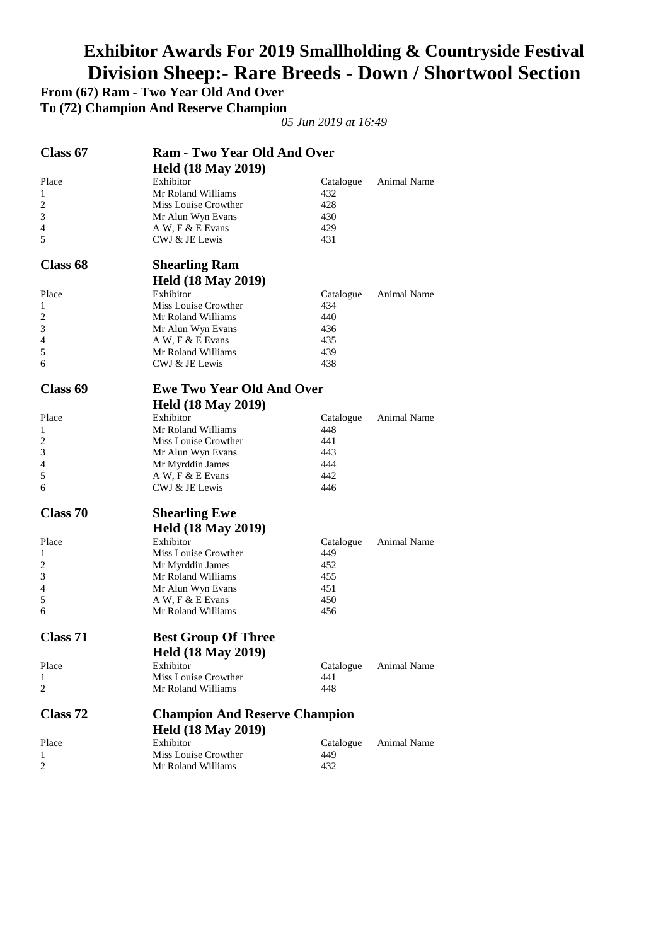# **Exhibitor Awards For 2019 Smallholding & Countryside Festival Division Sheep:- Rare Breeds - Down / Shortwool Section**

**From (67) Ram - Two Year Old And Over** 

**To (72) Champion And Reserve Champion** 

| <b>Held (18 May 2019)</b><br>Place<br>Exhibitor<br><b>Animal Name</b><br>Catalogue<br>Mr Roland Williams<br>432<br>1<br>$\overline{c}$<br>Miss Louise Crowther<br>428<br>3<br>430<br>Mr Alun Wyn Evans<br>4<br>A W, F & E Evans<br>429<br>5<br>CWJ & JE Lewis<br>431<br>Class 68<br><b>Shearling Ram</b><br><b>Held (18 May 2019)</b><br>Exhibitor<br>Place<br>Animal Name<br>Catalogue<br>Miss Louise Crowther<br>434<br>1<br>2<br>Mr Roland Williams<br>440<br>3<br>Mr Alun Wyn Evans<br>436<br>4<br>A W, F & E Evans<br>435<br>5<br>Mr Roland Williams<br>439<br>6<br>CWJ & JE Lewis<br>438<br>Class 69<br><b>Ewe Two Year Old And Over</b><br><b>Held (18 May 2019)</b><br>Exhibitor<br>Place<br>Animal Name<br>Catalogue<br>Mr Roland Williams<br>448<br>1<br>2<br>Miss Louise Crowther<br>441<br>3<br>443<br>Mr Alun Wyn Evans<br>444<br>4<br>Mr Myrddin James<br>5<br>A W, F & E Evans<br>442<br>6<br>CWJ & JE Lewis<br>446<br>Class 70<br><b>Shearling Ewe</b><br><b>Held (18 May 2019)</b><br>Exhibitor<br>Place<br>Animal Name<br>Catalogue<br>Miss Louise Crowther<br>449<br>1<br>2<br>452<br>Mr Myrddin James<br>3<br>Mr Roland Williams<br>455<br>4<br>451<br>Mr Alun Wyn Evans<br>5<br>A W, F & E Evans<br>450<br>Mr Roland Williams<br>6<br>456<br>Class 71<br><b>Best Group Of Three</b><br><b>Held (18 May 2019)</b><br>Exhibitor<br>Place<br>Catalogue<br>Animal Name<br>Miss Louise Crowther<br>441<br>1<br>2<br>Mr Roland Williams<br>448<br>Class 72<br><b>Champion And Reserve Champion</b><br><b>Held (18 May 2019)</b><br>Exhibitor<br>Place<br>Catalogue<br>Animal Name<br>Miss Louise Crowther<br>449<br>1<br>$\overline{2}$<br>Mr Roland Williams<br>432 | Class 67 | <b>Ram - Two Year Old And Over</b> |  |  |
|-------------------------------------------------------------------------------------------------------------------------------------------------------------------------------------------------------------------------------------------------------------------------------------------------------------------------------------------------------------------------------------------------------------------------------------------------------------------------------------------------------------------------------------------------------------------------------------------------------------------------------------------------------------------------------------------------------------------------------------------------------------------------------------------------------------------------------------------------------------------------------------------------------------------------------------------------------------------------------------------------------------------------------------------------------------------------------------------------------------------------------------------------------------------------------------------------------------------------------------------------------------------------------------------------------------------------------------------------------------------------------------------------------------------------------------------------------------------------------------------------------------------------------------------------------------------------------------------------------------------------------------------------------------------------------------|----------|------------------------------------|--|--|
|                                                                                                                                                                                                                                                                                                                                                                                                                                                                                                                                                                                                                                                                                                                                                                                                                                                                                                                                                                                                                                                                                                                                                                                                                                                                                                                                                                                                                                                                                                                                                                                                                                                                                     |          |                                    |  |  |
|                                                                                                                                                                                                                                                                                                                                                                                                                                                                                                                                                                                                                                                                                                                                                                                                                                                                                                                                                                                                                                                                                                                                                                                                                                                                                                                                                                                                                                                                                                                                                                                                                                                                                     |          |                                    |  |  |
|                                                                                                                                                                                                                                                                                                                                                                                                                                                                                                                                                                                                                                                                                                                                                                                                                                                                                                                                                                                                                                                                                                                                                                                                                                                                                                                                                                                                                                                                                                                                                                                                                                                                                     |          |                                    |  |  |
|                                                                                                                                                                                                                                                                                                                                                                                                                                                                                                                                                                                                                                                                                                                                                                                                                                                                                                                                                                                                                                                                                                                                                                                                                                                                                                                                                                                                                                                                                                                                                                                                                                                                                     |          |                                    |  |  |
|                                                                                                                                                                                                                                                                                                                                                                                                                                                                                                                                                                                                                                                                                                                                                                                                                                                                                                                                                                                                                                                                                                                                                                                                                                                                                                                                                                                                                                                                                                                                                                                                                                                                                     |          |                                    |  |  |
|                                                                                                                                                                                                                                                                                                                                                                                                                                                                                                                                                                                                                                                                                                                                                                                                                                                                                                                                                                                                                                                                                                                                                                                                                                                                                                                                                                                                                                                                                                                                                                                                                                                                                     |          |                                    |  |  |
|                                                                                                                                                                                                                                                                                                                                                                                                                                                                                                                                                                                                                                                                                                                                                                                                                                                                                                                                                                                                                                                                                                                                                                                                                                                                                                                                                                                                                                                                                                                                                                                                                                                                                     |          |                                    |  |  |
|                                                                                                                                                                                                                                                                                                                                                                                                                                                                                                                                                                                                                                                                                                                                                                                                                                                                                                                                                                                                                                                                                                                                                                                                                                                                                                                                                                                                                                                                                                                                                                                                                                                                                     |          |                                    |  |  |
|                                                                                                                                                                                                                                                                                                                                                                                                                                                                                                                                                                                                                                                                                                                                                                                                                                                                                                                                                                                                                                                                                                                                                                                                                                                                                                                                                                                                                                                                                                                                                                                                                                                                                     |          |                                    |  |  |
|                                                                                                                                                                                                                                                                                                                                                                                                                                                                                                                                                                                                                                                                                                                                                                                                                                                                                                                                                                                                                                                                                                                                                                                                                                                                                                                                                                                                                                                                                                                                                                                                                                                                                     |          |                                    |  |  |
|                                                                                                                                                                                                                                                                                                                                                                                                                                                                                                                                                                                                                                                                                                                                                                                                                                                                                                                                                                                                                                                                                                                                                                                                                                                                                                                                                                                                                                                                                                                                                                                                                                                                                     |          |                                    |  |  |
|                                                                                                                                                                                                                                                                                                                                                                                                                                                                                                                                                                                                                                                                                                                                                                                                                                                                                                                                                                                                                                                                                                                                                                                                                                                                                                                                                                                                                                                                                                                                                                                                                                                                                     |          |                                    |  |  |
|                                                                                                                                                                                                                                                                                                                                                                                                                                                                                                                                                                                                                                                                                                                                                                                                                                                                                                                                                                                                                                                                                                                                                                                                                                                                                                                                                                                                                                                                                                                                                                                                                                                                                     |          |                                    |  |  |
|                                                                                                                                                                                                                                                                                                                                                                                                                                                                                                                                                                                                                                                                                                                                                                                                                                                                                                                                                                                                                                                                                                                                                                                                                                                                                                                                                                                                                                                                                                                                                                                                                                                                                     |          |                                    |  |  |
|                                                                                                                                                                                                                                                                                                                                                                                                                                                                                                                                                                                                                                                                                                                                                                                                                                                                                                                                                                                                                                                                                                                                                                                                                                                                                                                                                                                                                                                                                                                                                                                                                                                                                     |          |                                    |  |  |
|                                                                                                                                                                                                                                                                                                                                                                                                                                                                                                                                                                                                                                                                                                                                                                                                                                                                                                                                                                                                                                                                                                                                                                                                                                                                                                                                                                                                                                                                                                                                                                                                                                                                                     |          |                                    |  |  |
|                                                                                                                                                                                                                                                                                                                                                                                                                                                                                                                                                                                                                                                                                                                                                                                                                                                                                                                                                                                                                                                                                                                                                                                                                                                                                                                                                                                                                                                                                                                                                                                                                                                                                     |          |                                    |  |  |
|                                                                                                                                                                                                                                                                                                                                                                                                                                                                                                                                                                                                                                                                                                                                                                                                                                                                                                                                                                                                                                                                                                                                                                                                                                                                                                                                                                                                                                                                                                                                                                                                                                                                                     |          |                                    |  |  |
|                                                                                                                                                                                                                                                                                                                                                                                                                                                                                                                                                                                                                                                                                                                                                                                                                                                                                                                                                                                                                                                                                                                                                                                                                                                                                                                                                                                                                                                                                                                                                                                                                                                                                     |          |                                    |  |  |
|                                                                                                                                                                                                                                                                                                                                                                                                                                                                                                                                                                                                                                                                                                                                                                                                                                                                                                                                                                                                                                                                                                                                                                                                                                                                                                                                                                                                                                                                                                                                                                                                                                                                                     |          |                                    |  |  |
|                                                                                                                                                                                                                                                                                                                                                                                                                                                                                                                                                                                                                                                                                                                                                                                                                                                                                                                                                                                                                                                                                                                                                                                                                                                                                                                                                                                                                                                                                                                                                                                                                                                                                     |          |                                    |  |  |
|                                                                                                                                                                                                                                                                                                                                                                                                                                                                                                                                                                                                                                                                                                                                                                                                                                                                                                                                                                                                                                                                                                                                                                                                                                                                                                                                                                                                                                                                                                                                                                                                                                                                                     |          |                                    |  |  |
|                                                                                                                                                                                                                                                                                                                                                                                                                                                                                                                                                                                                                                                                                                                                                                                                                                                                                                                                                                                                                                                                                                                                                                                                                                                                                                                                                                                                                                                                                                                                                                                                                                                                                     |          |                                    |  |  |
|                                                                                                                                                                                                                                                                                                                                                                                                                                                                                                                                                                                                                                                                                                                                                                                                                                                                                                                                                                                                                                                                                                                                                                                                                                                                                                                                                                                                                                                                                                                                                                                                                                                                                     |          |                                    |  |  |
|                                                                                                                                                                                                                                                                                                                                                                                                                                                                                                                                                                                                                                                                                                                                                                                                                                                                                                                                                                                                                                                                                                                                                                                                                                                                                                                                                                                                                                                                                                                                                                                                                                                                                     |          |                                    |  |  |
|                                                                                                                                                                                                                                                                                                                                                                                                                                                                                                                                                                                                                                                                                                                                                                                                                                                                                                                                                                                                                                                                                                                                                                                                                                                                                                                                                                                                                                                                                                                                                                                                                                                                                     |          |                                    |  |  |
|                                                                                                                                                                                                                                                                                                                                                                                                                                                                                                                                                                                                                                                                                                                                                                                                                                                                                                                                                                                                                                                                                                                                                                                                                                                                                                                                                                                                                                                                                                                                                                                                                                                                                     |          |                                    |  |  |
|                                                                                                                                                                                                                                                                                                                                                                                                                                                                                                                                                                                                                                                                                                                                                                                                                                                                                                                                                                                                                                                                                                                                                                                                                                                                                                                                                                                                                                                                                                                                                                                                                                                                                     |          |                                    |  |  |
|                                                                                                                                                                                                                                                                                                                                                                                                                                                                                                                                                                                                                                                                                                                                                                                                                                                                                                                                                                                                                                                                                                                                                                                                                                                                                                                                                                                                                                                                                                                                                                                                                                                                                     |          |                                    |  |  |
|                                                                                                                                                                                                                                                                                                                                                                                                                                                                                                                                                                                                                                                                                                                                                                                                                                                                                                                                                                                                                                                                                                                                                                                                                                                                                                                                                                                                                                                                                                                                                                                                                                                                                     |          |                                    |  |  |
|                                                                                                                                                                                                                                                                                                                                                                                                                                                                                                                                                                                                                                                                                                                                                                                                                                                                                                                                                                                                                                                                                                                                                                                                                                                                                                                                                                                                                                                                                                                                                                                                                                                                                     |          |                                    |  |  |
|                                                                                                                                                                                                                                                                                                                                                                                                                                                                                                                                                                                                                                                                                                                                                                                                                                                                                                                                                                                                                                                                                                                                                                                                                                                                                                                                                                                                                                                                                                                                                                                                                                                                                     |          |                                    |  |  |
|                                                                                                                                                                                                                                                                                                                                                                                                                                                                                                                                                                                                                                                                                                                                                                                                                                                                                                                                                                                                                                                                                                                                                                                                                                                                                                                                                                                                                                                                                                                                                                                                                                                                                     |          |                                    |  |  |
|                                                                                                                                                                                                                                                                                                                                                                                                                                                                                                                                                                                                                                                                                                                                                                                                                                                                                                                                                                                                                                                                                                                                                                                                                                                                                                                                                                                                                                                                                                                                                                                                                                                                                     |          |                                    |  |  |
|                                                                                                                                                                                                                                                                                                                                                                                                                                                                                                                                                                                                                                                                                                                                                                                                                                                                                                                                                                                                                                                                                                                                                                                                                                                                                                                                                                                                                                                                                                                                                                                                                                                                                     |          |                                    |  |  |
|                                                                                                                                                                                                                                                                                                                                                                                                                                                                                                                                                                                                                                                                                                                                                                                                                                                                                                                                                                                                                                                                                                                                                                                                                                                                                                                                                                                                                                                                                                                                                                                                                                                                                     |          |                                    |  |  |
|                                                                                                                                                                                                                                                                                                                                                                                                                                                                                                                                                                                                                                                                                                                                                                                                                                                                                                                                                                                                                                                                                                                                                                                                                                                                                                                                                                                                                                                                                                                                                                                                                                                                                     |          |                                    |  |  |
|                                                                                                                                                                                                                                                                                                                                                                                                                                                                                                                                                                                                                                                                                                                                                                                                                                                                                                                                                                                                                                                                                                                                                                                                                                                                                                                                                                                                                                                                                                                                                                                                                                                                                     |          |                                    |  |  |
|                                                                                                                                                                                                                                                                                                                                                                                                                                                                                                                                                                                                                                                                                                                                                                                                                                                                                                                                                                                                                                                                                                                                                                                                                                                                                                                                                                                                                                                                                                                                                                                                                                                                                     |          |                                    |  |  |
|                                                                                                                                                                                                                                                                                                                                                                                                                                                                                                                                                                                                                                                                                                                                                                                                                                                                                                                                                                                                                                                                                                                                                                                                                                                                                                                                                                                                                                                                                                                                                                                                                                                                                     |          |                                    |  |  |
|                                                                                                                                                                                                                                                                                                                                                                                                                                                                                                                                                                                                                                                                                                                                                                                                                                                                                                                                                                                                                                                                                                                                                                                                                                                                                                                                                                                                                                                                                                                                                                                                                                                                                     |          |                                    |  |  |
|                                                                                                                                                                                                                                                                                                                                                                                                                                                                                                                                                                                                                                                                                                                                                                                                                                                                                                                                                                                                                                                                                                                                                                                                                                                                                                                                                                                                                                                                                                                                                                                                                                                                                     |          |                                    |  |  |
|                                                                                                                                                                                                                                                                                                                                                                                                                                                                                                                                                                                                                                                                                                                                                                                                                                                                                                                                                                                                                                                                                                                                                                                                                                                                                                                                                                                                                                                                                                                                                                                                                                                                                     |          |                                    |  |  |
|                                                                                                                                                                                                                                                                                                                                                                                                                                                                                                                                                                                                                                                                                                                                                                                                                                                                                                                                                                                                                                                                                                                                                                                                                                                                                                                                                                                                                                                                                                                                                                                                                                                                                     |          |                                    |  |  |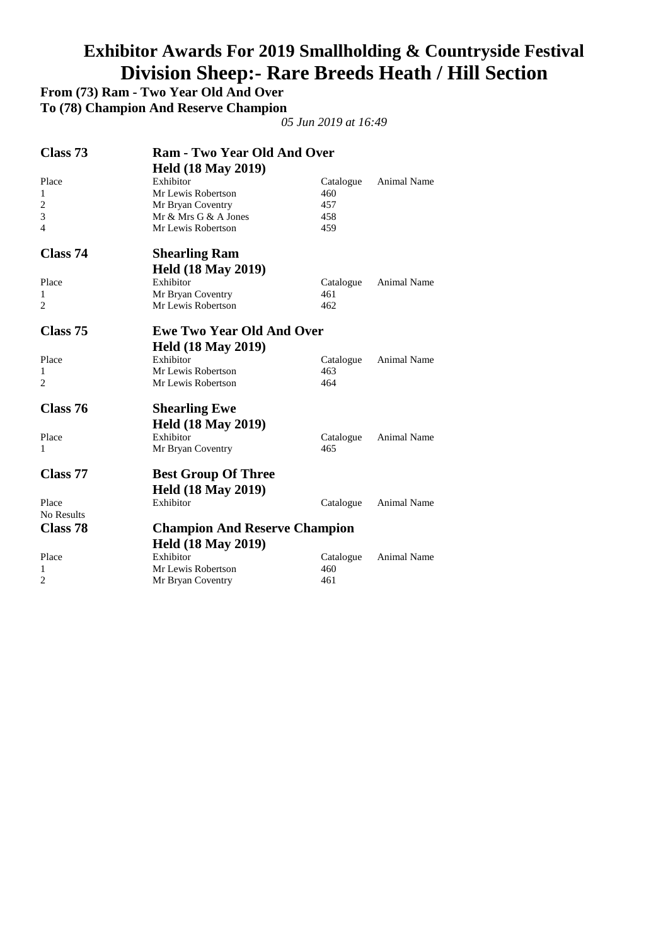# **Exhibitor Awards For 2019 Smallholding & Countryside Festival Division Sheep:- Rare Breeds Heath / Hill Section**

**From (73) Ram - Two Year Old And Over** 

**To (78) Champion And Reserve Champion** 

| Class 73       | <b>Ram - Two Year Old And Over</b>   |           |                    |
|----------------|--------------------------------------|-----------|--------------------|
|                | <b>Held (18 May 2019)</b>            |           |                    |
| Place          | Exhibitor                            | Catalogue | Animal Name        |
| 1              | Mr Lewis Robertson                   | 460       |                    |
| $\overline{2}$ | Mr Bryan Coventry                    | 457       |                    |
| 3              | Mr $&$ Mrs G $&$ A Jones             | 458       |                    |
| $\overline{4}$ | Mr Lewis Robertson                   | 459       |                    |
| Class 74       | <b>Shearling Ram</b>                 |           |                    |
|                | <b>Held (18 May 2019)</b>            |           |                    |
| Place          | Exhibitor                            | Catalogue | Animal Name        |
| 1              | Mr Bryan Coventry                    | 461       |                    |
| $\overline{2}$ | Mr Lewis Robertson                   | 462       |                    |
| Class 75       | <b>Ewe Two Year Old And Over</b>     |           |                    |
|                | <b>Held (18 May 2019)</b>            |           |                    |
| Place          | Exhibitor                            | Catalogue | <b>Animal Name</b> |
| 1              | Mr Lewis Robertson                   | 463       |                    |
| $\overline{2}$ | Mr Lewis Robertson                   | 464       |                    |
| Class 76       | <b>Shearling Ewe</b>                 |           |                    |
|                | <b>Held (18 May 2019)</b>            |           |                    |
| Place          | Exhibitor                            | Catalogue | <b>Animal Name</b> |
| 1              | Mr Bryan Coventry                    | 465       |                    |
| Class 77       | <b>Best Group Of Three</b>           |           |                    |
|                | <b>Held (18 May 2019)</b>            |           |                    |
| Place          | Exhibitor                            | Catalogue | <b>Animal Name</b> |
| No Results     |                                      |           |                    |
| Class 78       | <b>Champion And Reserve Champion</b> |           |                    |
|                | <b>Held (18 May 2019)</b>            |           |                    |
| Place          | Exhibitor                            | Catalogue | <b>Animal Name</b> |
| 1              | Mr Lewis Robertson                   | 460       |                    |
| $\overline{2}$ | Mr Bryan Coventry                    | 461       |                    |
|                |                                      |           |                    |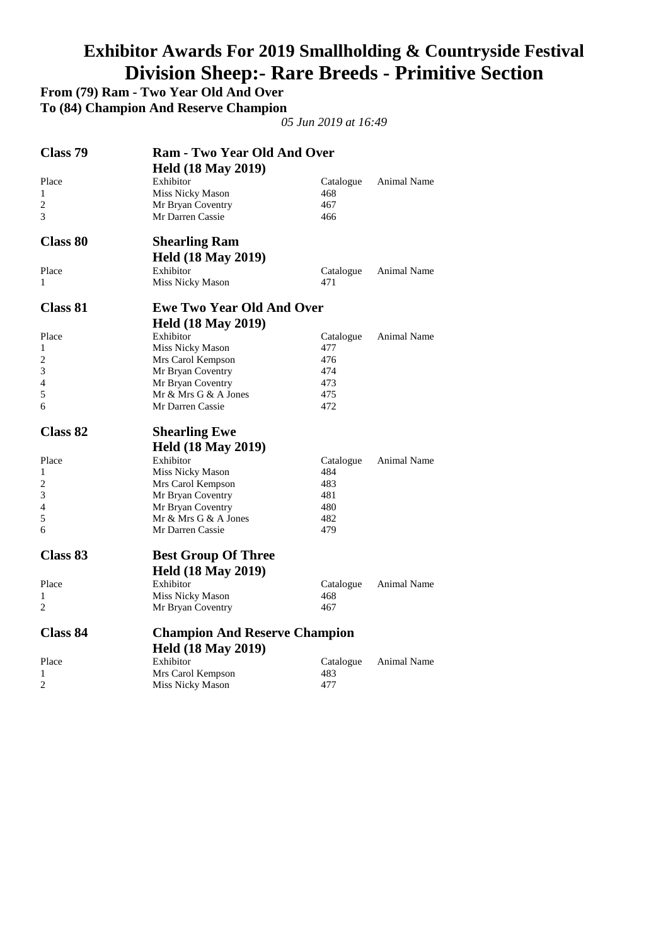# **Exhibitor Awards For 2019 Smallholding & Countryside Festival Division Sheep:- Rare Breeds - Primitive Section**

**From (79) Ram - Two Year Old And Over** 

**To (84) Champion And Reserve Champion** 

| Class 79        | <b>Ram - Two Year Old And Over</b>           |                  |                    |
|-----------------|----------------------------------------------|------------------|--------------------|
|                 | <b>Held (18 May 2019)</b>                    |                  |                    |
| Place           | Exhibitor                                    | Catalogue        | Animal Name        |
| 1               | Miss Nicky Mason                             | 468              |                    |
| 2               | Mr Bryan Coventry                            | 467              |                    |
| 3               | Mr Darren Cassie                             | 466              |                    |
| <b>Class 80</b> | <b>Shearling Ram</b>                         |                  |                    |
|                 | <b>Held (18 May 2019)</b>                    |                  |                    |
| Place           | Exhibitor                                    | Catalogue        | Animal Name        |
| 1               | Miss Nicky Mason                             | 471              |                    |
| Class 81        | <b>Ewe Two Year Old And Over</b>             |                  |                    |
|                 | <b>Held (18 May 2019)</b>                    |                  |                    |
| Place           | Exhibitor                                    | Catalogue        | <b>Animal Name</b> |
| 1               | Miss Nicky Mason                             | 477              |                    |
| 2               | Mrs Carol Kempson                            | 476              |                    |
| 3               | Mr Bryan Coventry                            | 474              |                    |
| $\overline{4}$  | Mr Bryan Coventry                            | 473              |                    |
| 5               | Mr & Mrs G & A Jones                         | 475              |                    |
| 6               | Mr Darren Cassie                             | 472              |                    |
|                 |                                              |                  |                    |
| Class 82        | <b>Shearling Ewe</b>                         |                  |                    |
|                 |                                              |                  |                    |
| Place           | <b>Held (18 May 2019)</b><br>Exhibitor       |                  | <b>Animal Name</b> |
| 1               |                                              | Catalogue<br>484 |                    |
| 2               | Miss Nicky Mason                             | 483              |                    |
| 3               | Mrs Carol Kempson                            | 481              |                    |
| 4               | Mr Bryan Coventry                            | 480              |                    |
| 5               | Mr Bryan Coventry<br>Mr & Mrs G & A Jones    | 482              |                    |
| 6               | Mr Darren Cassie                             | 479              |                    |
| Class 83        | <b>Best Group Of Three</b>                   |                  |                    |
|                 |                                              |                  |                    |
|                 | <b>Held (18 May 2019)</b>                    |                  |                    |
| Place<br>1      | Exhibitor                                    | Catalogue        | Animal Name        |
| 2               | Miss Nicky Mason<br>Mr Bryan Coventry        | 468<br>467       |                    |
| <b>Class 84</b> | <b>Champion And Reserve Champion</b>         |                  |                    |
|                 |                                              |                  |                    |
|                 | <b>Held (18 May 2019)</b>                    |                  |                    |
| Place           | Exhibitor                                    | Catalogue        | <b>Animal Name</b> |
| 1<br>2          | Mrs Carol Kempson<br><b>Miss Nicky Mason</b> | 483<br>477       |                    |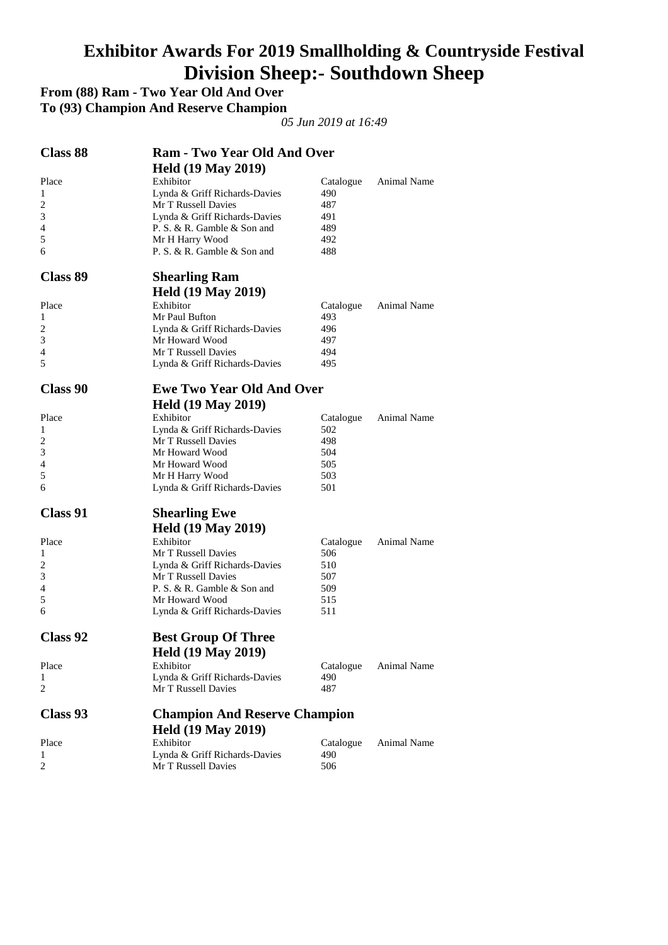#### **Exhibitor Awards For 2019 Smallholding & Countryside Festival Division Sheep:- Southdown Sheep**

**From (88) Ram - Two Year Old And Over** 

**To (93) Champion And Reserve Champion** 

| <b>Class 88</b> | <b>Ram - Two Year Old And Over</b>            |            |             |
|-----------------|-----------------------------------------------|------------|-------------|
|                 | <b>Held (19 May 2019)</b>                     |            |             |
| Place           | Exhibitor                                     | Catalogue  | Animal Name |
| 1               | Lynda & Griff Richards-Davies                 | 490        |             |
| 2               | Mr T Russell Davies                           | 487        |             |
| 3               | Lynda & Griff Richards-Davies                 | 491        |             |
| 4               | P. S. & R. Gamble & Son and                   | 489        |             |
| 5               | Mr H Harry Wood                               | 492        |             |
| 6               | P. S. & R. Gamble & Son and                   | 488        |             |
| <b>Class 89</b> | <b>Shearling Ram</b>                          |            |             |
|                 | <b>Held (19 May 2019)</b>                     |            |             |
| Place           | Exhibitor                                     | Catalogue  | Animal Name |
| 1               | Mr Paul Bufton                                | 493        |             |
| 2               | Lynda & Griff Richards-Davies                 | 496        |             |
| 3               | Mr Howard Wood                                | 497        |             |
| 4               | Mr T Russell Davies                           | 494        |             |
| 5               | Lynda & Griff Richards-Davies                 | 495        |             |
| <b>Class 90</b> | <b>Ewe Two Year Old And Over</b>              |            |             |
|                 | <b>Held (19 May 2019)</b>                     |            |             |
| Place           | Exhibitor                                     | Catalogue  | Animal Name |
| 1               | Lynda & Griff Richards-Davies                 | 502        |             |
| 2               | Mr T Russell Davies                           | 498        |             |
| 3               | Mr Howard Wood                                | 504        |             |
| 4               | Mr Howard Wood                                | 505        |             |
| 5               | Mr H Harry Wood                               | 503        |             |
| 6               | Lynda & Griff Richards-Davies                 | 501        |             |
| <b>Class 91</b> | <b>Shearling Ewe</b>                          |            |             |
|                 |                                               |            |             |
|                 | <b>Held (19 May 2019)</b>                     |            |             |
| Place           | Exhibitor                                     | Catalogue  | Animal Name |
| 1               | Mr T Russell Davies                           | 506        |             |
| 2               | Lynda & Griff Richards-Davies                 | 510        |             |
| 3               | Mr T Russell Davies                           | 507        |             |
| 4               | P. S. & R. Gamble & Son and<br>Mr Howard Wood | 509        |             |
| 5<br>6          | Lynda & Griff Richards-Davies                 | 515<br>511 |             |
|                 |                                               |            |             |
| Class 92        | <b>Best Group Of Three</b>                    |            |             |
|                 | <b>Held (19 May 2019)</b>                     |            |             |
| Place           | Exhibitor                                     | Catalogue  | Animal Name |
| 1               | Lynda & Griff Richards-Davies                 | 490        |             |
| 2               | Mr T Russell Davies                           | 487        |             |
| Class 93        | <b>Champion And Reserve Champion</b>          |            |             |
|                 | <b>Held (19 May 2019)</b>                     |            |             |
| Place           | Exhibitor                                     | Catalogue  | Animal Name |
| 1               | Lynda & Griff Richards-Davies                 | 490        |             |
| 2               | Mr T Russell Davies                           | 506        |             |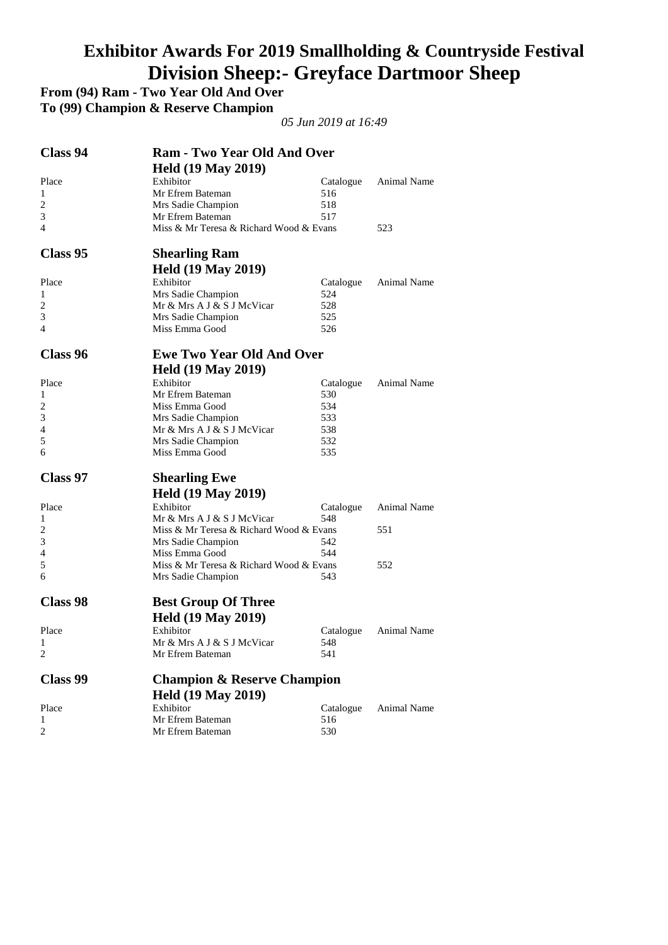# **Exhibitor Awards For 2019 Smallholding & Countryside Festival Division Sheep:- Greyface Dartmoor Sheep**

**From (94) Ram - Two Year Old And Over** 

**To (99) Champion & Reserve Champion** 

| <b>Class 94</b> | <b>Ram - Two Year Old And Over</b>                          |                  |             |
|-----------------|-------------------------------------------------------------|------------------|-------------|
|                 | <b>Held (19 May 2019)</b>                                   |                  |             |
| Place           | Exhibitor                                                   | Catalogue        | Animal Name |
| 1               | Mr Efrem Bateman                                            | 516              |             |
| $\overline{c}$  | Mrs Sadie Champion                                          | 518              |             |
| 3<br>4          | Mr Efrem Bateman<br>Miss & Mr Teresa & Richard Wood & Evans | 517              | 523         |
|                 |                                                             |                  |             |
| Class 95        | <b>Shearling Ram</b>                                        |                  |             |
|                 | <b>Held (19 May 2019)</b>                                   |                  |             |
| Place           | Exhibitor                                                   | Catalogue        | Animal Name |
| 1               | Mrs Sadie Champion                                          | 524              |             |
| 2               | Mr & Mrs A J & S J McVicar                                  | 528              |             |
| 3               | Mrs Sadie Champion                                          | 525              |             |
| 4               | Miss Emma Good                                              | 526              |             |
| <b>Class 96</b> | <b>Ewe Two Year Old And Over</b>                            |                  |             |
|                 | <b>Held (19 May 2019)</b>                                   |                  |             |
| Place           | Exhibitor                                                   | Catalogue        | Animal Name |
| 1               | Mr Efrem Bateman                                            | 530              |             |
| 2               | Miss Emma Good                                              | 534              |             |
| 3               | Mrs Sadie Champion                                          | 533              |             |
| 4               | Mr & Mrs A J & S J McVicar                                  | 538              |             |
| 5               | Mrs Sadie Champion                                          | 532              |             |
|                 |                                                             | 535              |             |
| 6               | Miss Emma Good                                              |                  |             |
| Class 97        | <b>Shearling Ewe</b>                                        |                  |             |
|                 | <b>Held (19 May 2019)</b>                                   |                  |             |
| Place           | Exhibitor                                                   | Catalogue        | Animal Name |
| 1               | Mr & Mrs A J & S J McVicar                                  | 548              |             |
| 2               | Miss & Mr Teresa & Richard Wood & Evans                     |                  | 551         |
| 3               | Mrs Sadie Champion                                          | 542              |             |
| 4               | Miss Emma Good                                              | 544              |             |
| 5               | Miss & Mr Teresa & Richard Wood & Evans                     |                  | 552         |
| 6               | Mrs Sadie Champion                                          | 543              |             |
| <b>Class 98</b> | <b>Best Group Of Three</b>                                  |                  |             |
|                 |                                                             |                  |             |
| Place           | <b>Held (19 May 2019)</b><br>Exhibitor                      | Catalogue        | Animal Name |
| 1               | Mr & Mrs A J & S J McVicar                                  | 548              |             |
| 2               | Mr Efrem Bateman                                            | 541              |             |
| Class 99        | <b>Champion &amp; Reserve Champion</b>                      |                  |             |
|                 |                                                             |                  |             |
|                 | <b>Held (19 May 2019)</b>                                   |                  |             |
| Place<br>1      | Exhibitor<br>Mr Efrem Bateman                               | Catalogue<br>516 | Animal Name |
| 2               | Mr Efrem Bateman                                            | 530              |             |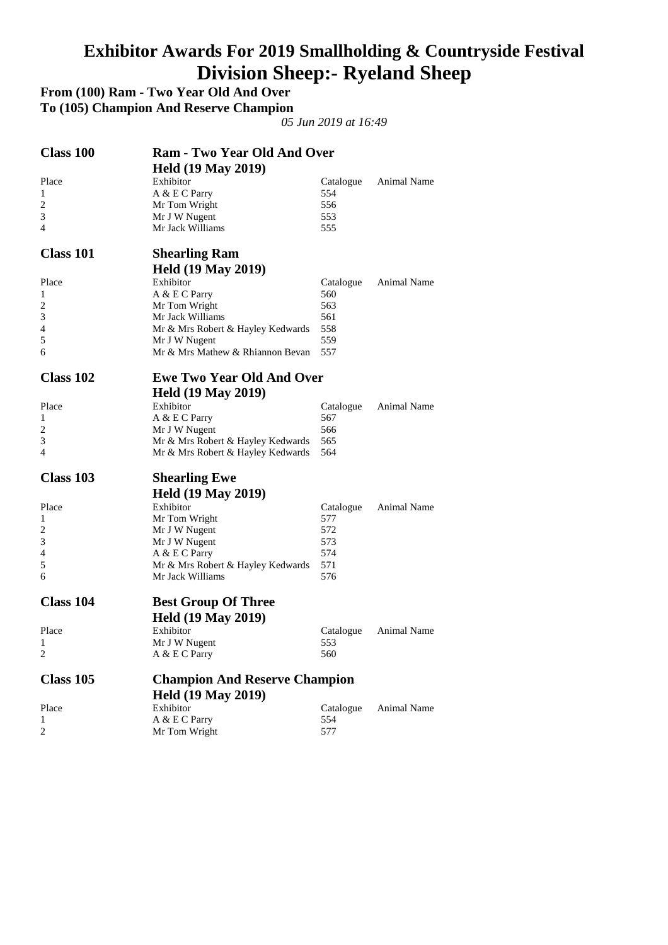#### **Exhibitor Awards For 2019 Smallholding & Countryside Festival Division Sheep:- Ryeland Sheep**

**From (100) Ram - Two Year Old And Over** 

**To (105) Champion And Reserve Champion** 

| <b>Class 100</b> | <b>Ram - Two Year Old And Over</b>                                     |            |             |
|------------------|------------------------------------------------------------------------|------------|-------------|
|                  | <b>Held (19 May 2019)</b>                                              |            |             |
| Place            | Exhibitor                                                              | Catalogue  | Animal Name |
| 1                | A & E C Parry                                                          | 554        |             |
| $\overline{c}$   | Mr Tom Wright                                                          | 556        |             |
| 3<br>4           | Mr J W Nugent<br>Mr Jack Williams                                      | 553        |             |
|                  |                                                                        | 555        |             |
| <b>Class 101</b> | <b>Shearling Ram</b>                                                   |            |             |
|                  | <b>Held (19 May 2019)</b>                                              |            |             |
| Place            | Exhibitor                                                              | Catalogue  | Animal Name |
| 1                | A & E C Parry                                                          | 560        |             |
| 2                | Mr Tom Wright                                                          | 563        |             |
| 3                | Mr Jack Williams                                                       | 561        |             |
| 4<br>5           | Mr & Mrs Robert & Hayley Kedwards                                      | 558<br>559 |             |
| 6                | Mr J W Nugent<br>Mr & Mrs Mathew & Rhiannon Bevan                      | 557        |             |
|                  |                                                                        |            |             |
| Class 102        | <b>Ewe Two Year Old And Over</b>                                       |            |             |
|                  | <b>Held (19 May 2019)</b>                                              |            |             |
| Place            | Exhibitor                                                              | Catalogue  | Animal Name |
| 1                | A & E C Parry                                                          | 567        |             |
| 2                | Mr J W Nugent                                                          | 566        |             |
| 3<br>4           | Mr & Mrs Robert & Hayley Kedwards<br>Mr & Mrs Robert & Hayley Kedwards | 565<br>564 |             |
|                  |                                                                        |            |             |
| Class 103        | <b>Shearling Ewe</b>                                                   |            |             |
|                  | <b>Held (19 May 2019)</b>                                              |            |             |
| Place            | Exhibitor                                                              | Catalogue  | Animal Name |
| 1                | Mr Tom Wright                                                          | 577        |             |
| 2                | Mr J W Nugent                                                          | 572        |             |
| 3<br>4           | Mr J W Nugent<br>A & E C Parry                                         | 573<br>574 |             |
| 5                | Mr & Mrs Robert & Hayley Kedwards                                      | 571        |             |
| 6                | Mr Jack Williams                                                       | 576        |             |
| <b>Class 104</b> |                                                                        |            |             |
|                  | <b>Best Group Of Three</b>                                             |            |             |
|                  | <b>Held (19 May 2019)</b>                                              |            |             |
| Place            | Exhibitor                                                              | Catalogue  | Animal Name |
| 1<br>2           | Mr J W Nugent<br>A & E C Parry                                         | 553<br>560 |             |
|                  |                                                                        |            |             |
| <b>Class 105</b> | <b>Champion And Reserve Champion</b>                                   |            |             |
|                  | <b>Held (19 May 2019)</b>                                              |            |             |
| Place            | Exhibitor                                                              | Catalogue  | Animal Name |
| 1                | A & E C Parry                                                          | 554        |             |
| 2                | Mr Tom Wright                                                          | 577        |             |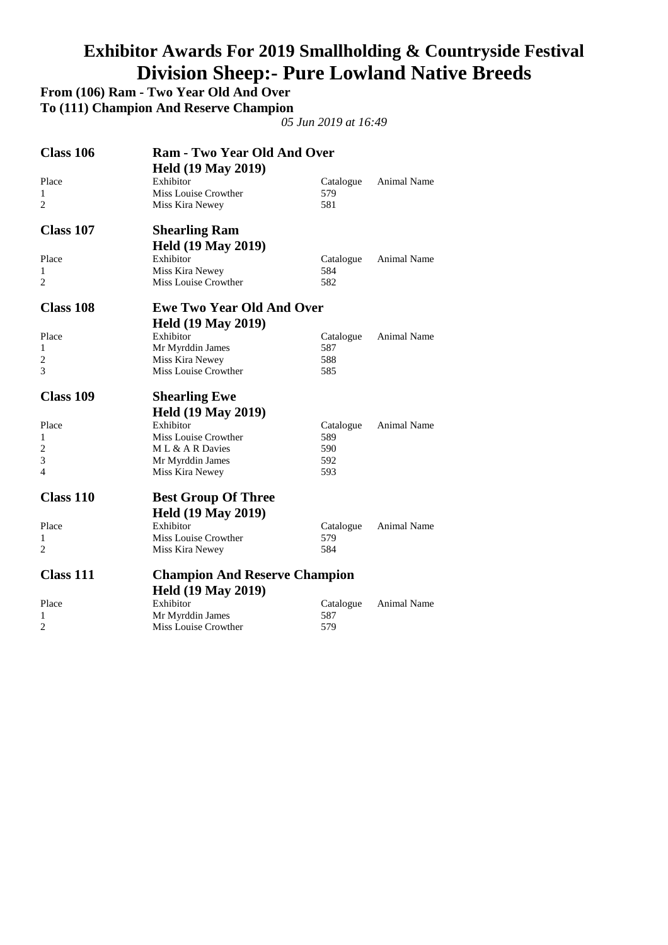# **Exhibitor Awards For 2019 Smallholding & Countryside Festival Division Sheep:- Pure Lowland Native Breeds**

**From (106) Ram - Two Year Old And Over To (111) Champion And Reserve Champion** 

| Class 106           | <b>Ram - Two Year Old And Over</b>      |                  |                    |
|---------------------|-----------------------------------------|------------------|--------------------|
|                     | <b>Held (19 May 2019)</b>               |                  |                    |
| Place               | Exhibitor                               | Catalogue        | Animal Name        |
| 1                   | Miss Louise Crowther                    | 579              |                    |
| $\overline{2}$      | Miss Kira Newey                         | 581              |                    |
| Class 107           | <b>Shearling Ram</b>                    |                  |                    |
|                     | <b>Held (19 May 2019)</b>               |                  |                    |
| Place               | Exhibitor                               | Catalogue        | Animal Name        |
| 1                   | Miss Kira Newey                         | 584              |                    |
| $\overline{c}$      | Miss Louise Crowther                    | 582              |                    |
| <b>Class 108</b>    | <b>Ewe Two Year Old And Over</b>        |                  |                    |
|                     | <b>Held (19 May 2019)</b>               |                  |                    |
| Place               | Exhibitor                               | Catalogue        | Animal Name        |
| 1                   | Mr Myrddin James                        | 587              |                    |
| 2                   | Miss Kira Newey                         | 588              |                    |
| 3                   | Miss Louise Crowther                    | 585              |                    |
| <b>Class 109</b>    | <b>Shearling Ewe</b>                    |                  |                    |
|                     |                                         |                  |                    |
|                     |                                         |                  |                    |
|                     | <b>Held (19 May 2019)</b>               |                  |                    |
| Place<br>1          | Exhibitor                               | Catalogue        | Animal Name        |
| $\overline{c}$      | Miss Louise Crowther<br>ML & A R Davies | 589<br>590       |                    |
| 3                   |                                         | 592              |                    |
| 4                   | Mr Myrddin James<br>Miss Kira Newey     | 593              |                    |
| <b>Class 110</b>    |                                         |                  |                    |
|                     | <b>Best Group Of Three</b>              |                  |                    |
|                     | <b>Held (19 May 2019)</b>               |                  |                    |
| Place               | Exhibitor                               | Catalogue        | <b>Animal Name</b> |
| 1<br>$\overline{c}$ | Miss Louise Crowther<br>Miss Kira Newey | 579<br>584       |                    |
| <b>Class 111</b>    |                                         |                  |                    |
|                     | <b>Champion And Reserve Champion</b>    |                  |                    |
|                     | <b>Held (19 May 2019)</b>               |                  |                    |
| Place<br>1          | Exhibitor<br>Mr Myrddin James           | Catalogue<br>587 | <b>Animal Name</b> |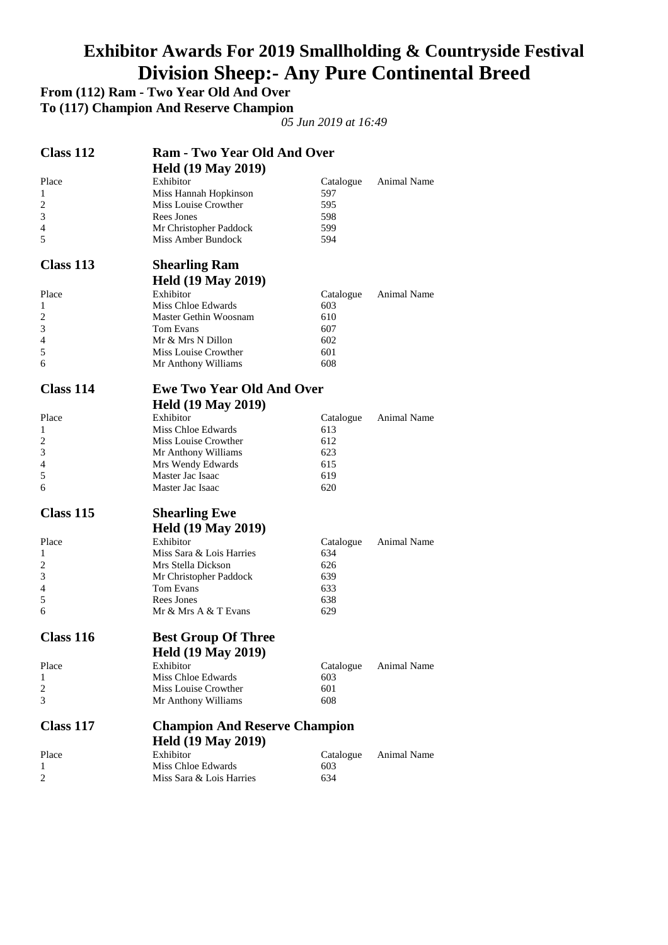# **Exhibitor Awards For 2019 Smallholding & Countryside Festival Division Sheep:- Any Pure Continental Breed**

**From (112) Ram - Two Year Old And Over To (117) Champion And Reserve Champion** 

| Class 112        | <b>Ram - Two Year Old And Over</b>   |                  |                    |
|------------------|--------------------------------------|------------------|--------------------|
|                  | <b>Held (19 May 2019)</b>            |                  |                    |
| Place            | Exhibitor                            | Catalogue        | <b>Animal Name</b> |
| 1                | Miss Hannah Hopkinson                | 597              |                    |
| 2                | Miss Louise Crowther                 | 595              |                    |
| 3                | Rees Jones                           | 598              |                    |
| 4                | Mr Christopher Paddock               | 599              |                    |
| 5                | Miss Amber Bundock                   | 594              |                    |
| Class 113        | <b>Shearling Ram</b>                 |                  |                    |
|                  | <b>Held (19 May 2019)</b>            |                  |                    |
| Place            | Exhibitor                            | Catalogue        | Animal Name        |
| 1                | Miss Chloe Edwards                   | 603              |                    |
| $\overline{c}$   | Master Gethin Woosnam                | 610              |                    |
| 3                | Tom Evans                            | 607              |                    |
| 4                | Mr & Mrs N Dillon                    | 602              |                    |
| 5                | Miss Louise Crowther                 | 601              |                    |
| 6                | Mr Anthony Williams                  | 608              |                    |
| <b>Class 114</b> | <b>Ewe Two Year Old And Over</b>     |                  |                    |
|                  | <b>Held (19 May 2019)</b>            |                  |                    |
| Place            | Exhibitor                            | Catalogue        | Animal Name        |
| 1                | Miss Chloe Edwards                   | 613              |                    |
| 2                | Miss Louise Crowther                 | 612              |                    |
| 3                | Mr Anthony Williams                  | 623              |                    |
| 4                | Mrs Wendy Edwards                    | 615              |                    |
| 5                | Master Jac Isaac                     | 619              |                    |
| 6                | Master Jac Isaac                     | 620              |                    |
| Class 115        | <b>Shearling Ewe</b>                 |                  |                    |
|                  | <b>Held (19 May 2019)</b>            |                  |                    |
| Place            | Exhibitor                            | Catalogue        | Animal Name        |
| 1                | Miss Sara & Lois Harries             | 634              |                    |
| 2                | Mrs Stella Dickson                   | 626              |                    |
| 3                | Mr Christopher Paddock               | 639              |                    |
| 4                | Tom Evans                            | 633              |                    |
| 5                | <b>Rees Jones</b>                    | 638              |                    |
| 6                | Mr & Mrs A & T Evans                 | 629              |                    |
| Class 116        | <b>Best Group Of Three</b>           |                  |                    |
|                  | <b>Held (19 May 2019)</b>            |                  |                    |
| Place            | Exhibitor                            | Catalogue        | Animal Name        |
| 1                | Miss Chloe Edwards                   | 603              |                    |
| 2                | Miss Louise Crowther                 | 601              |                    |
| 3                | Mr Anthony Williams                  | 608              |                    |
| Class 117        | <b>Champion And Reserve Champion</b> |                  |                    |
|                  | <b>Held (19 May 2019)</b>            |                  |                    |
|                  | Exhibitor                            |                  |                    |
| Place<br>1       | Miss Chloe Edwards                   | Catalogue<br>603 | Animal Name        |
| 2                | Miss Sara & Lois Harries             | 634              |                    |
|                  |                                      |                  |                    |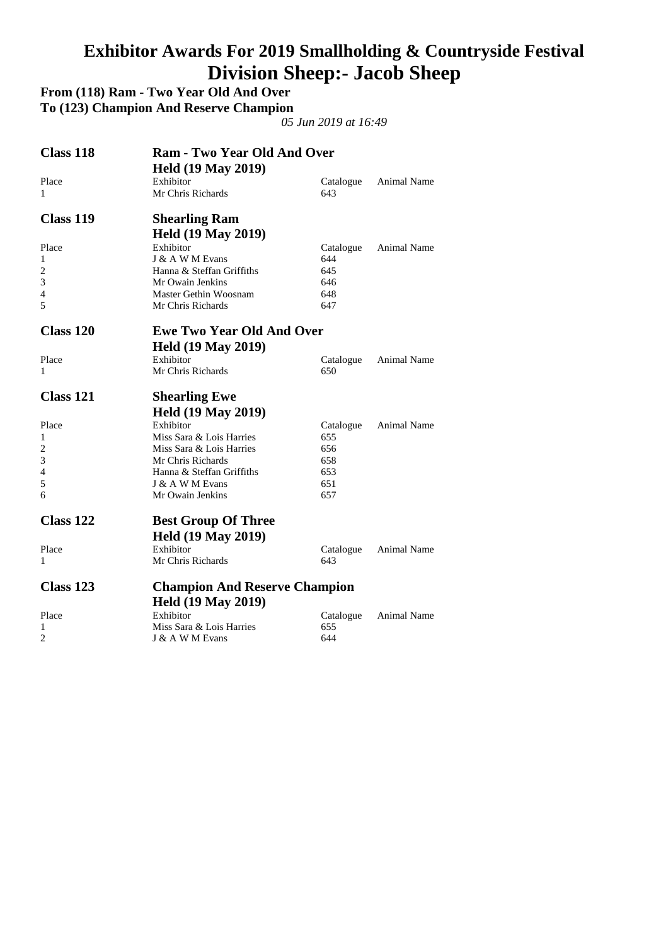#### **Exhibitor Awards For 2019 Smallholding & Countryside Festival Division Sheep:- Jacob Sheep**

**From (118) Ram - Two Year Old And Over To (123) Champion And Reserve Champion** 

| <b>Class 118</b> | <b>Ram - Two Year Old And Over</b>   |           |                    |
|------------------|--------------------------------------|-----------|--------------------|
|                  | <b>Held (19 May 2019)</b>            |           |                    |
| Place            | Exhibitor                            | Catalogue | Animal Name        |
| 1                | Mr Chris Richards                    | 643       |                    |
| <b>Class 119</b> | <b>Shearling Ram</b>                 |           |                    |
|                  | <b>Held (19 May 2019)</b>            |           |                    |
| Place            | Exhibitor                            | Catalogue | Animal Name        |
| 1                | J & A W M Evans                      | 644       |                    |
| 2                | Hanna & Steffan Griffiths            | 645       |                    |
| 3                | Mr Owain Jenkins                     | 646       |                    |
| 4                | Master Gethin Woosnam                | 648       |                    |
| 5                | Mr Chris Richards                    | 647       |                    |
| Class 120        | <b>Ewe Two Year Old And Over</b>     |           |                    |
|                  | <b>Held (19 May 2019)</b>            |           |                    |
| Place            | Exhibitor                            | Catalogue | <b>Animal Name</b> |
| 1                | Mr Chris Richards                    | 650       |                    |
| Class 121        | <b>Shearling Ewe</b>                 |           |                    |
|                  | <b>Held (19 May 2019)</b>            |           |                    |
| Place            | Exhibitor                            | Catalogue | <b>Animal Name</b> |
| 1                | Miss Sara & Lois Harries             | 655       |                    |
| $\overline{2}$   | Miss Sara & Lois Harries             | 656       |                    |
| 3                | Mr Chris Richards                    | 658       |                    |
| 4                | Hanna & Steffan Griffiths            | 653       |                    |
| 5                | J & A W M Evans                      | 651       |                    |
| 6                | Mr Owain Jenkins                     | 657       |                    |
| Class 122        | <b>Best Group Of Three</b>           |           |                    |
|                  | <b>Held (19 May 2019)</b>            |           |                    |
| Place            | Exhibitor                            | Catalogue | Animal Name        |
| 1                | Mr Chris Richards                    | 643       |                    |
|                  |                                      |           |                    |
| Class 123        | <b>Champion And Reserve Champion</b> |           |                    |
|                  | <b>Held (19 May 2019)</b>            |           |                    |
| Place            | Exhibitor                            | Catalogue | <b>Animal Name</b> |
| 1                | Miss Sara & Lois Harries             | 655       |                    |
| 2                | J & A W M Evans                      | 644       |                    |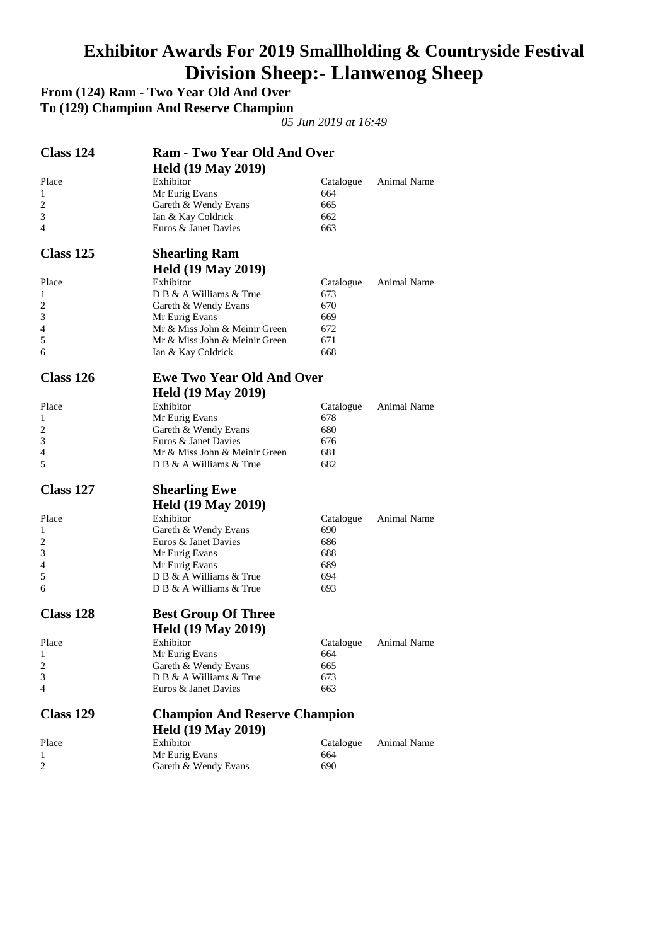#### **Exhibitor Awards For 2019 Smallholding & Countryside Festival Division Sheep:- Llanwenog Sheep**

**From (124) Ram - Two Year Old And Over To (129) Champion And Reserve Champion** 

| Class 124           | <b>Ram - Two Year Old And Over</b>           |            |             |
|---------------------|----------------------------------------------|------------|-------------|
|                     | <b>Held (19 May 2019)</b>                    |            |             |
| Place               | Exhibitor                                    | Catalogue  | Animal Name |
| 1                   | Mr Eurig Evans                               | 664        |             |
| $\overline{c}$      | Gareth & Wendy Evans                         | 665        |             |
| 3                   | Ian & Kay Coldrick                           | 662        |             |
| 4                   | Euros & Janet Davies                         | 663        |             |
| Class 125           | <b>Shearling Ram</b>                         |            |             |
|                     | <b>Held (19 May 2019)</b>                    |            |             |
| Place               | Exhibitor                                    | Catalogue  | Animal Name |
| 1                   | D B & A Williams & True                      | 673        |             |
| 2                   | Gareth & Wendy Evans                         | 670        |             |
| 3                   | Mr Eurig Evans                               | 669        |             |
| 4                   | Mr & Miss John & Meinir Green                | 672        |             |
| 5                   | Mr & Miss John & Meinir Green                | 671        |             |
| 6                   | Ian & Kay Coldrick                           | 668        |             |
| Class 126           | <b>Ewe Two Year Old And Over</b>             |            |             |
|                     |                                              |            |             |
|                     | <b>Held (19 May 2019)</b>                    |            |             |
| Place               | Exhibitor                                    | Catalogue  | Animal Name |
| 1                   | Mr Eurig Evans                               | 678        |             |
| $\overline{c}$<br>3 | Gareth & Wendy Evans<br>Euros & Janet Davies | 680<br>676 |             |
| 4                   |                                              |            |             |
|                     | Mr & Miss John & Meinir Green                | 681        |             |
| 5                   | D B & A Williams & True                      | 682        |             |
| Class 127           | <b>Shearling Ewe</b>                         |            |             |
|                     | <b>Held (19 May 2019)</b>                    |            |             |
| Place               | Exhibitor                                    | Catalogue  | Animal Name |
| 1                   | Gareth & Wendy Evans                         | 690        |             |
| 2                   | Euros & Janet Davies                         | 686        |             |
| 3                   | Mr Eurig Evans                               | 688        |             |
| 4                   | Mr Eurig Evans                               | 689        |             |
| 5                   | D B & A Williams & True                      | 694        |             |
| 6                   | D B & A Williams & True                      | 693        |             |
| Class 128           | <b>Best Group Of Three</b>                   |            |             |
|                     |                                              |            |             |
|                     | <b>Held (19 May 2019)</b>                    |            |             |
| Place               | Exhibitor                                    | Catalogue  | Animal Name |
| 1                   | Mr Eurig Evans                               | 664        |             |
| 2                   | Gareth & Wendy Evans                         | 665        |             |
| 3                   | D B & A Williams & True                      | 673        |             |
| 4                   | Euros & Janet Davies                         | 663        |             |
| <b>Class 129</b>    | <b>Champion And Reserve Champion</b>         |            |             |
|                     | <b>Held (19 May 2019)</b>                    |            |             |
| Place               | Exhibitor                                    | Catalogue  | Animal Name |
|                     |                                              |            |             |
| 1                   |                                              |            |             |
| 2                   | Mr Eurig Evans<br>Gareth & Wendy Evans       | 664<br>690 |             |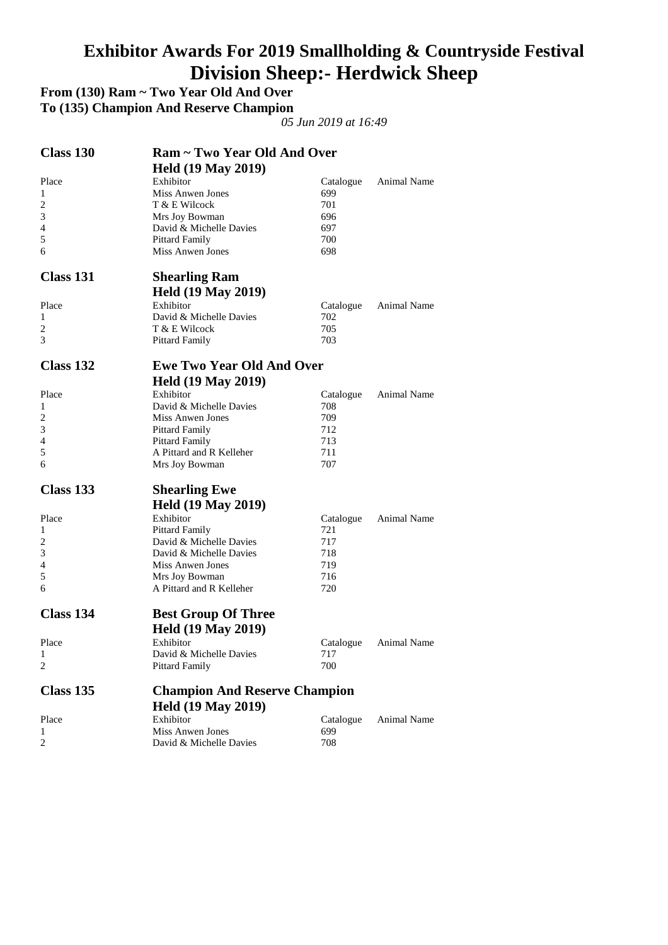#### **Exhibitor Awards For 2019 Smallholding & Countryside Festival Division Sheep:- Herdwick Sheep**

**From (130) Ram ~ Two Year Old And Over To (135) Champion And Reserve Champion** 

| Class 130      | Ram ~ Two Year Old And Over                      |                  |                    |
|----------------|--------------------------------------------------|------------------|--------------------|
|                | <b>Held (19 May 2019)</b>                        |                  |                    |
| Place          | Exhibitor                                        | Catalogue        | Animal Name        |
| 1              | <b>Miss Anwen Jones</b>                          | 699              |                    |
| $\overline{c}$ | T & E Wilcock                                    | 701              |                    |
| 3              | Mrs Joy Bowman                                   | 696              |                    |
| 4              | David & Michelle Davies                          | 697              |                    |
| 5              | <b>Pittard Family</b>                            | 700              |                    |
| 6              | Miss Anwen Jones                                 | 698              |                    |
| Class 131      | <b>Shearling Ram</b>                             |                  |                    |
|                | <b>Held (19 May 2019)</b>                        |                  |                    |
| Place          | Exhibitor                                        | Catalogue        | Animal Name        |
| 1              | David & Michelle Davies                          | 702              |                    |
| 2              | T & E Wilcock                                    | 705              |                    |
| 3              | Pittard Family                                   | 703              |                    |
| Class 132      | <b>Ewe Two Year Old And Over</b>                 |                  |                    |
|                |                                                  |                  |                    |
|                | <b>Held (19 May 2019)</b>                        |                  |                    |
| Place          | Exhibitor                                        | Catalogue        | Animal Name        |
| 1              | David & Michelle Davies                          | 708              |                    |
| 2              | Miss Anwen Jones                                 | 709              |                    |
| 3              | <b>Pittard Family</b>                            | 712              |                    |
| 4              | <b>Pittard Family</b>                            | 713              |                    |
| 5<br>6         | A Pittard and R Kelleher<br>Mrs Joy Bowman       | 711<br>707       |                    |
| Class 133      | <b>Shearling Ewe</b>                             |                  |                    |
|                | <b>Held (19 May 2019)</b>                        |                  |                    |
| Place          | Exhibitor                                        |                  | Animal Name        |
| 1              |                                                  | Catalogue<br>721 |                    |
|                | <b>Pittard Family</b><br>David & Michelle Davies |                  |                    |
| 2<br>3         | David & Michelle Davies                          | 717<br>718       |                    |
| 4              | Miss Anwen Jones                                 | 719              |                    |
| 5              | Mrs Joy Bowman                                   | 716              |                    |
| 6              | A Pittard and R Kelleher                         | 720              |                    |
| Class 134      | <b>Best Group Of Three</b>                       |                  |                    |
|                | <b>Held (19 May 2019)</b>                        |                  |                    |
| Place          | Exhibitor                                        | Catalogue        | <b>Animal Name</b> |
| $\mathbf{1}$   | David & Michelle Davies                          | 717              |                    |
| $\overline{c}$ | <b>Pittard Family</b>                            | 700              |                    |
| Class 135      | <b>Champion And Reserve Champion</b>             |                  |                    |
|                | <b>Held (19 May 2019)</b>                        |                  |                    |
| Place          | Exhibitor                                        | Catalogue        | <b>Animal Name</b> |
| 1              | <b>Miss Anwen Jones</b>                          | 699              |                    |
| 2              | David & Michelle Davies                          | 708              |                    |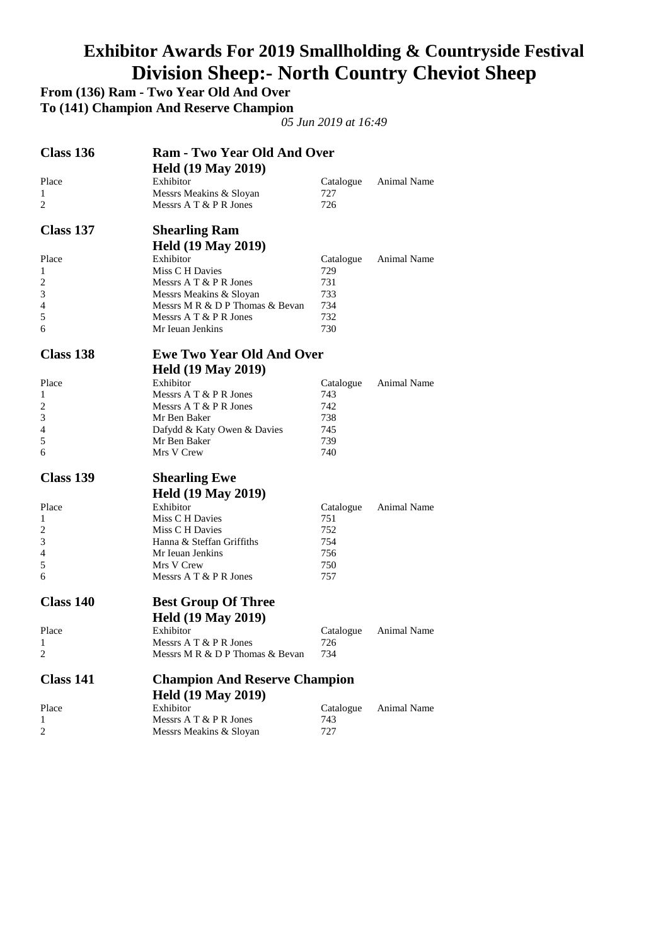# **Exhibitor Awards For 2019 Smallholding & Countryside Festival Division Sheep:- North Country Cheviot Sheep**

**From (136) Ram - Two Year Old And Over** 

**To (141) Champion And Reserve Champion** 

| Class 136      | <b>Ram - Two Year Old And Over</b>                        |            |                    |
|----------------|-----------------------------------------------------------|------------|--------------------|
|                | <b>Held (19 May 2019)</b>                                 |            |                    |
| Place          | Exhibitor                                                 | Catalogue  | Animal Name        |
| 1              | Messrs Meakins & Sloyan                                   | 727        |                    |
| 2              | Messrs A T & P R Jones                                    | 726        |                    |
| Class 137      | <b>Shearling Ram</b>                                      |            |                    |
|                | <b>Held (19 May 2019)</b>                                 |            |                    |
| Place          | Exhibitor                                                 | Catalogue  | Animal Name        |
| 1              | Miss C H Davies                                           | 729        |                    |
| $\overline{c}$ | Messrs $A T & P R$ Jones                                  | 731        |                    |
| 3              | Messrs Meakins & Sloyan                                   | 733<br>734 |                    |
| 4<br>5         | Messrs M R & D P Thomas & Bevan<br>Messrs A T & P R Jones | 732        |                    |
| 6              | Mr Ieuan Jenkins                                          | 730        |                    |
|                |                                                           |            |                    |
| Class 138      | <b>Ewe Two Year Old And Over</b>                          |            |                    |
|                | <b>Held (19 May 2019)</b>                                 |            |                    |
| Place          | Exhibitor                                                 | Catalogue  | <b>Animal Name</b> |
| 1              | Messrs $A T & P R$ Jones                                  | 743        |                    |
| $\overline{c}$ | Messrs A T & P R Jones                                    | 742        |                    |
| 3              | Mr Ben Baker                                              | 738        |                    |
| 4<br>5         | Dafydd & Katy Owen & Davies                               | 745        |                    |
| 6              | Mr Ben Baker<br>Mrs V Crew                                | 739<br>740 |                    |
|                |                                                           |            |                    |
| Class 139      | <b>Shearling Ewe</b>                                      |            |                    |
|                | <b>Held (19 May 2019)</b>                                 |            |                    |
| Place          | Exhibitor                                                 | Catalogue  | Animal Name        |
| 1              | Miss C H Davies                                           | 751        |                    |
| 2              | Miss C H Davies                                           | 752        |                    |
| 3              | Hanna & Steffan Griffiths                                 | 754        |                    |
| 4              | Mr Ieuan Jenkins                                          | 756        |                    |
| 5<br>6         | Mrs V Crew<br>Messrs A T & P R Jones                      | 750<br>757 |                    |
|                |                                                           |            |                    |
| Class 140      | <b>Best Group Of Three</b>                                |            |                    |
|                | <b>Held (19 May 2019)</b>                                 |            |                    |
| Place          | Exhibitor                                                 | Catalogue  | Animal Name        |
| 1              | Messrs A T & P R Jones                                    | 726        |                    |
| 2              | Messrs M R & D P Thomas & Bevan                           | 734        |                    |
| Class 141      | <b>Champion And Reserve Champion</b>                      |            |                    |
|                | <b>Held (19 May 2019)</b>                                 |            |                    |
| Place          | Exhibitor                                                 | Catalogue  | Animal Name        |
| 1              | Messrs A T & P R Jones                                    | 743        |                    |
| 2              | Messrs Meakins & Sloyan                                   | 727        |                    |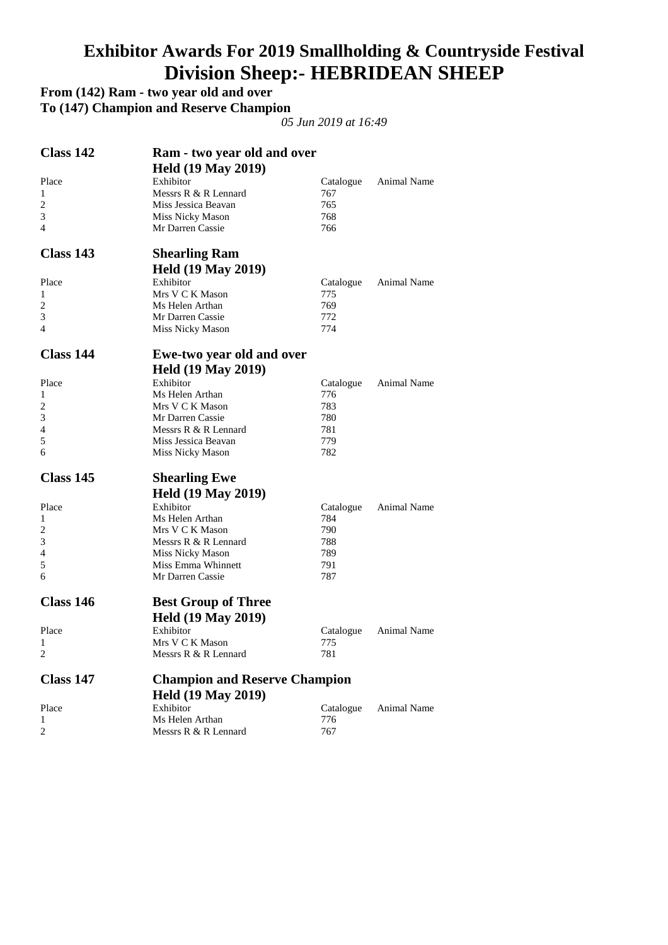#### **Exhibitor Awards For 2019 Smallholding & Countryside Festival Division Sheep:- HEBRIDEAN SHEEP**

#### **From (142) Ram - two year old and over**

**To (147) Champion and Reserve Champion** 

| Class 142      | Ram - two year old and over<br><b>Held (19 May 2019)</b> |                  |                    |
|----------------|----------------------------------------------------------|------------------|--------------------|
| Place          | Exhibitor                                                | Catalogue        | Animal Name        |
| 1              | Messrs R & R Lennard                                     | 767              |                    |
| $\overline{2}$ | Miss Jessica Beavan                                      | 765              |                    |
| 3              | Miss Nicky Mason                                         | 768              |                    |
| 4              | Mr Darren Cassie                                         | 766              |                    |
| Class 143      | <b>Shearling Ram</b>                                     |                  |                    |
|                | <b>Held (19 May 2019)</b>                                |                  |                    |
| Place          | Exhibitor                                                | Catalogue        | Animal Name        |
| 1              | Mrs V C K Mason                                          | 775              |                    |
| $\overline{c}$ | Ms Helen Arthan                                          | 769              |                    |
| 3              | Mr Darren Cassie                                         | 772              |                    |
| $\overline{4}$ | Miss Nicky Mason                                         | 774              |                    |
| Class 144      | <b>Ewe-two year old and over</b>                         |                  |                    |
|                | <b>Held (19 May 2019)</b>                                |                  |                    |
| Place          | Exhibitor                                                | Catalogue        | <b>Animal Name</b> |
| 1              | Ms Helen Arthan                                          | 776              |                    |
| 2              | Mrs V C K Mason                                          | 783              |                    |
| 3              | Mr Darren Cassie                                         | 780              |                    |
| 4              | Messrs R & R Lennard                                     | 781              |                    |
| 5              | Miss Jessica Beavan                                      | 779              |                    |
| 6              | Miss Nicky Mason                                         | 782              |                    |
|                |                                                          |                  |                    |
| Class 145      | <b>Shearling Ewe</b>                                     |                  |                    |
|                | <b>Held (19 May 2019)</b>                                |                  |                    |
| Place          | Exhibitor                                                | Catalogue        | Animal Name        |
| 1              | Ms Helen Arthan                                          | 784              |                    |
| 2              | Mrs V C K Mason                                          | 790              |                    |
| 3              | Messrs R & R Lennard                                     | 788              |                    |
| 4              | Miss Nicky Mason                                         | 789              |                    |
| 5              | Miss Emma Whinnett                                       | 791              |                    |
| 6              | Mr Darren Cassie                                         | 787              |                    |
| Class 146      | <b>Best Group of Three</b>                               |                  |                    |
|                | <b>Held (19 May 2019)</b>                                |                  |                    |
| Place          | Exhibitor                                                | Catalogue        | Animal Name        |
| 1              | Mrs V C K Mason                                          | 775 -            |                    |
| 2              | Messrs R & R Lennard                                     | 781              |                    |
| Class 147      | <b>Champion and Reserve Champion</b>                     |                  |                    |
|                |                                                          |                  |                    |
| Place          | <b>Held (19 May 2019)</b>                                |                  | Animal Name        |
| 1              | Exhibitor<br>Ms Helen Arthan                             | Catalogue<br>776 |                    |
| 2              | Messrs R & R Lennard                                     | 767              |                    |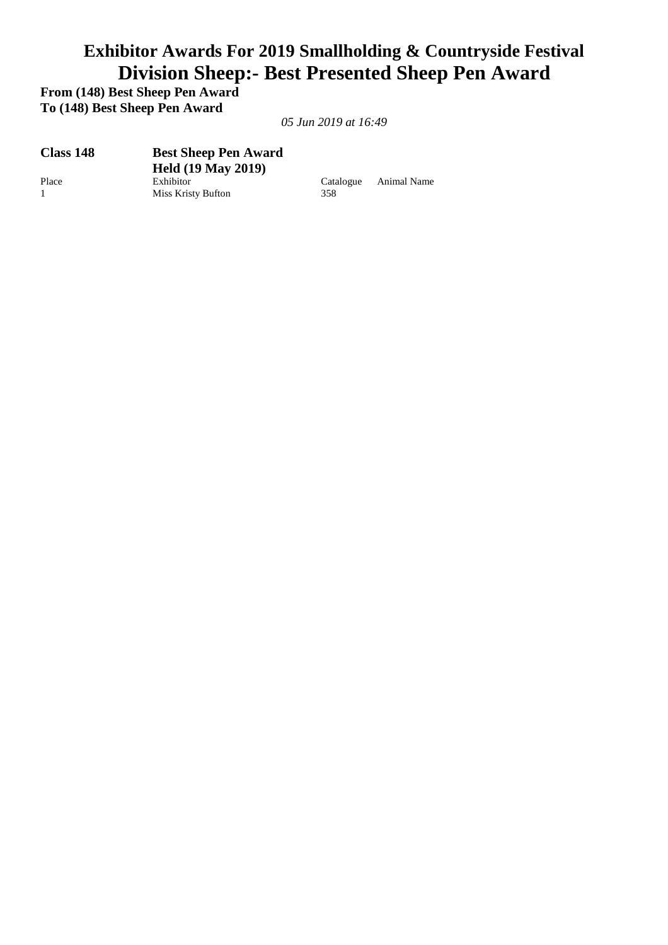### **Exhibitor Awards For 2019 Smallholding & Countryside Festival Division Sheep:- Best Presented Sheep Pen Award**

**From (148) Best Sheep Pen Award To (148) Best Sheep Pen Award** 

| Class 148      | <b>Best Sheep Pen Award</b> |           |             |
|----------------|-----------------------------|-----------|-------------|
|                | <b>Held (19 May 2019)</b>   |           |             |
| Place          | Exhibitor                   | Catalogue | Animal Name |
| $\overline{1}$ | Miss Kristy Bufton          | 358       |             |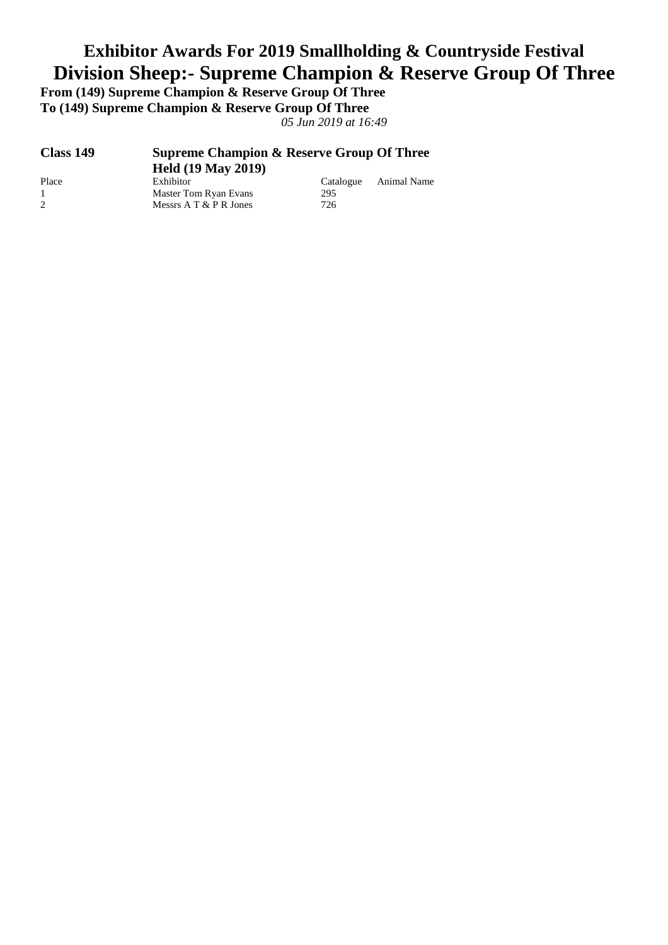# **Exhibitor Awards For 2019 Smallholding & Countryside Festival Division Sheep:- Supreme Champion & Reserve Group Of Three**

**From (149) Supreme Champion & Reserve Group Of Three To (149) Supreme Champion & Reserve Group Of Three** 

| Class 149    | <b>Supreme Champion &amp; Reserve Group Of Three</b><br><b>Held (19 May 2019)</b> |           |             |  |
|--------------|-----------------------------------------------------------------------------------|-----------|-------------|--|
| Place        | Exhibitor                                                                         | Catalogue | Animal Name |  |
| $\mathbf{1}$ | Master Tom Ryan Evans                                                             | 295       |             |  |
| 2            | Messrs $A T & P R$ Jones                                                          | 726       |             |  |